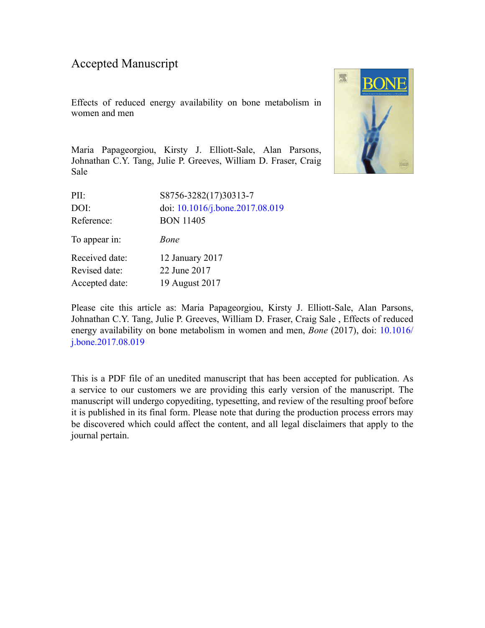### Accepted Manuscript

Effects of reduced energy availability on bone metabolism in women and men



Maria Papageorgiou, Kirsty J. Elliott-Sale, Alan Parsons, Johnathan C.Y. Tang, Julie P. Greeves, William D. Fraser, Craig Sale

| S8756-3282(17)30313-7           |
|---------------------------------|
| doi: 10.1016/j.bone.2017.08.019 |
| <b>BON 11405</b>                |
| <i>Bone</i>                     |
| 12 January 2017                 |
| 22 June 2017                    |
| 19 August 2017                  |
|                                 |

Please cite this article as: Maria Papageorgiou, Kirsty J. Elliott-Sale, Alan Parsons, Johnathan C.Y. Tang, Julie P. Greeves, William D. Fraser, Craig Sale , Effects of reduced energy availability on bone metabolism in women and men, *Bone* (2017), doi: [10.1016/](http://dx.doi.org/10.1016/j.bone.2017.08.019) [j.bone.2017.08.019](http://dx.doi.org/10.1016/j.bone.2017.08.019)

This is a PDF file of an unedited manuscript that has been accepted for publication. As a service to our customers we are providing this early version of the manuscript. The manuscript will undergo copyediting, typesetting, and review of the resulting proof before it is published in its final form. Please note that during the production process errors may be discovered which could affect the content, and all legal disclaimers that apply to the journal pertain.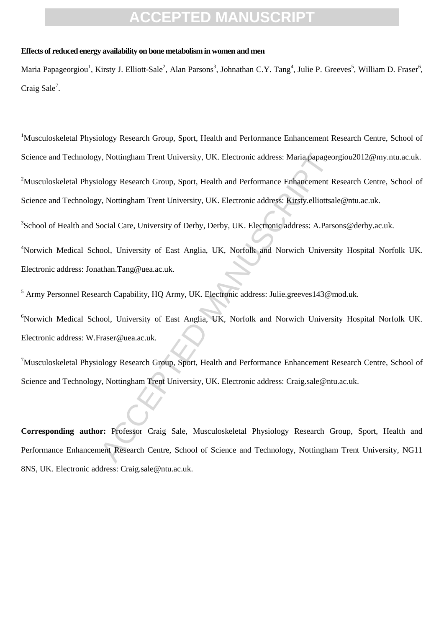#### **Effects of reduced energy availability on bone metabolism in women and men**

Maria Papageorgiou<sup>1</sup>, Kirsty J. Elliott-Sale<sup>2</sup>, Alan Parsons<sup>3</sup>, Johnathan C.Y. Tang<sup>4</sup>, Julie P. Greeves<sup>5</sup>, William D. Fraser<sup>6</sup>, Craig Sale<sup>7</sup>.

v, Nottingham Trent University, UK. Electronic address: Maria papageo<br>
ology Research Group, Sport, Health and Performance Enhancement R<br>
v, Nottingham Trent University, UK. Electronic address: Kirsty.elliottsa<br>
iocial Car <sup>1</sup>Musculoskeletal Physiology Research Group, Sport, Health and Performance Enhancement Research Centre, School of Science and Technology, Nottingham Trent University, UK. Electronic address: Maria.papageorgiou2012@my.ntu.ac.uk. <sup>2</sup>Musculoskeletal Physiology Research Group, Sport, Health and Performance Enhancement Research Centre, School of Science and Technology, Nottingham Trent University, UK. Electronic address: Kirsty.elliottsale@ntu.ac.uk.

<sup>3</sup>School of Health and Social Care, University of Derby, Derby, UK. Electronic address: A.Parsons@derby.ac.uk.

<sup>4</sup>Norwich Medical School, University of East Anglia, UK, Norfolk and Norwich University Hospital Norfolk UK. Electronic address: Jonathan.Tang@uea.ac.uk.

<sup>5</sup> Army Personnel Research Capability, HQ Army, UK. Electronic address: Julie.greeves143@mod.uk.

<sup>6</sup>Norwich Medical School, University of East Anglia, UK, Norfolk and Norwich University Hospital Norfolk UK. Electronic address: W.Fraser@uea.ac.uk.

<sup>7</sup>Musculoskeletal Physiology Research Group, Sport, Health and Performance Enhancement Research Centre, School of Science and Technology, Nottingham Trent University, UK. Electronic address: Craig.sale@ntu.ac.uk.

**Corresponding author:** Professor Craig Sale, Musculoskeletal Physiology Research Group, Sport, Health and Performance Enhancement Research Centre, School of Science and Technology, Nottingham Trent University, NG11 8NS, UK. Electronic address: Craig.sale@ntu.ac.uk.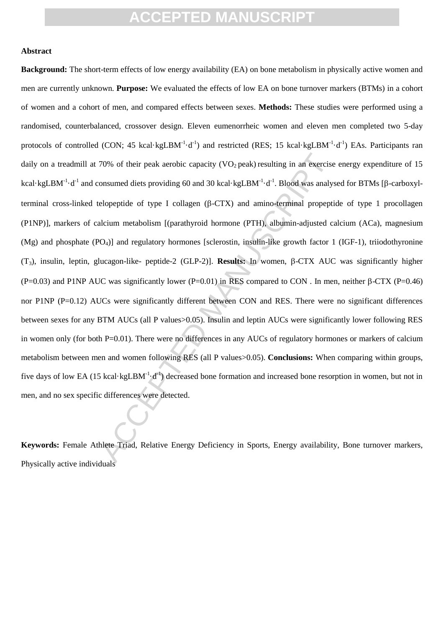#### **Abstract**

70% of their peak aerobic capacity (VO<sub>2</sub> peak) resulting in an exercise<br>onsumed diets providing 60 and 30 kcal-kgLBM<sup>-1</sup>·d<sup>-1</sup>. Blood was analys<br>elopeptide of type I collagen (β-CTX) and amino-terminal propepti<br>alcium m **Background:** The short-term effects of low energy availability (EA) on bone metabolism in physically active women and men are currently unknown. **Purpose:** We evaluated the effects of low EA on bone turnover markers (BTMs) in a cohort of women and a cohort of men, and compared effects between sexes. **Methods:** These studies were performed using a randomised, counterbalanced, crossover design. Eleven eumenorrheic women and eleven men completed two 5-day protocols of controlled (CON; 45 kcal·kgLBM<sup>-1</sup>·d<sup>-1</sup>) and restricted (RES; 15 kcal·kgLBM<sup>-1</sup>·d<sup>-1</sup>) EAs. Participants ran daily on a treadmill at 70% of their peak aerobic capacity (VO<sub>2</sub> peak) resulting in an exercise energy expenditure of 15 kcal·kgLBM<sup>-1</sup>·d<sup>-1</sup> and consumed diets providing 60 and 30 kcal·kgLBM<sup>-1</sup>·d<sup>-1</sup>. Blood was analysed for BTMs [β-carboxylterminal cross-linked telopeptide of type I collagen  $(\beta$ -CTX) and amino-terminal propeptide of type 1 procollagen (P1NP)], markers of calcium metabolism [(parathyroid hormone (PTH), albumin-adjusted calcium (ACa), magnesium  $(Mg)$  and phosphate  $(PO<sub>4</sub>)$ ] and regulatory hormones [sclerostin, insulin-like growth factor 1 (IGF-1), triiodothyronine  $(T_3)$ , insulin, leptin, glucagon-like- peptide-2 (GLP-2)]. **Results:** In women,  $\beta$ -CTX AUC was significantly higher (P=0.03) and P1NP AUC was significantly lower (P=0.01) in RES compared to CON. In men, neither  $\beta$ -CTX (P=0.46) nor P1NP (P=0.12) AUCs were significantly different between CON and RES. There were no significant differences between sexes for any BTM AUCs (all P values>0.05). Insulin and leptin AUCs were significantly lower following RES in women only (for both P=0.01). There were no differences in any AUCs of regulatory hormones or markers of calcium metabolism between men and women following RES (all P values>0.05). **Conclusions:** When comparing within groups, five days of low EA (15 kcal·kgLBM<sup>-1</sup>·d<sup>-1</sup>) decreased bone formation and increased bone resorption in women, but not in men, and no sex specific differences were detected.

**Keywords:** Female Athlete Triad, Relative Energy Deficiency in Sports, Energy availability, Bone turnover markers, Physically active individuals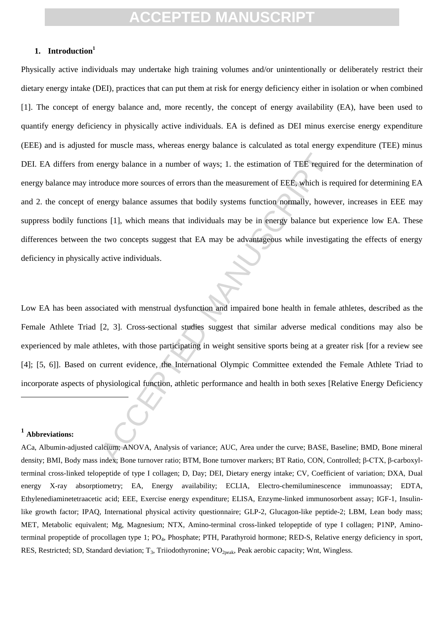### **1. Introduction<sup>1</sup>**

energy balance in a number of ways; 1. the estimation of TEE require<br>orduce more sources of errors than the measurement of EEE, which is re<br>nergy balance assumes that bodily systems function normally, howev<br>sms [1], which Physically active individuals may undertake high training volumes and/or unintentionally or deliberately restrict their dietary energy intake (DEI), practices that can put them at risk for energy deficiency either in isolation or when combined [1]. The concept of energy balance and, more recently, the concept of energy availability (EA), have been used to quantify energy deficiency in physically active individuals. EA is defined as DEI minus exercise energy expenditure (EEE) and is adjusted for muscle mass, whereas energy balance is calculated as total energy expenditure (TEE) minus DEI. EA differs from energy balance in a number of ways; 1. the estimation of TEE required for the determination of energy balance may introduce more sources of errors than the measurement of EEE, which is required for determining EA and 2. the concept of energy balance assumes that bodily systems function normally, however, increases in EEE may suppress bodily functions [1], which means that individuals may be in energy balance but experience low EA. These differences between the two concepts suggest that EA may be advantageous while investigating the effects of energy deficiency in physically active individuals.

Low EA has been associated with menstrual dysfunction and impaired bone health in female athletes, described as the Female Athlete Triad [2, 3]. Cross-sectional studies suggest that similar adverse medical conditions may also be experienced by male athletes, with those participating in weight sensitive sports being at a greater risk [for a review see [4]; [5, 6]]. Based on current evidence, the International Olympic Committee extended the Female Athlete Triad to incorporate aspects of physiological function, athletic performance and health in both sexes [Relative Energy Deficiency

### **1 Abbreviations:**

l

ACa, Albumin-adjusted calcium; ANOVA, Analysis of variance; AUC, Area under the curve; BASE, Baseline; BMD, Bone mineral density; BMI, Body mass index; Bone turnover ratio; BTM, Bone turnover markers; BT Ratio, CON, Controlled; β-CTX, β-carboxylterminal cross-linked telopeptide of type I collagen; D, Day; DEI, Dietary energy intake; CV, Coefficient of variation; DXA, Dual energy X-ray absorptiometry; EA, Energy availability; ECLIA, Electro-chemiluminescence immunoassay; EDTA, Ethylenediaminetetraacetic acid; EEE, Exercise energy expenditure; ELISA, Enzyme-linked immunosorbent assay; IGF-1, Insulinlike growth factor; IPAQ, International physical activity questionnaire; GLP-2, Glucagon-like peptide-2; LBM, Lean body mass; MET, Metabolic equivalent; Mg, Magnesium; NTX, Amino-terminal cross-linked telopeptide of type I collagen; P1NP, Aminoterminal propeptide of procollagen type 1; PO4, Phosphate; PTH, Parathyroid hormone; RED-S, Relative energy deficiency in sport, RES, Restricted; SD, Standard deviation; T<sub>3</sub>, Triiodothyronine; VO<sub>2peak</sub>, Peak aerobic capacity; Wnt, Wingless.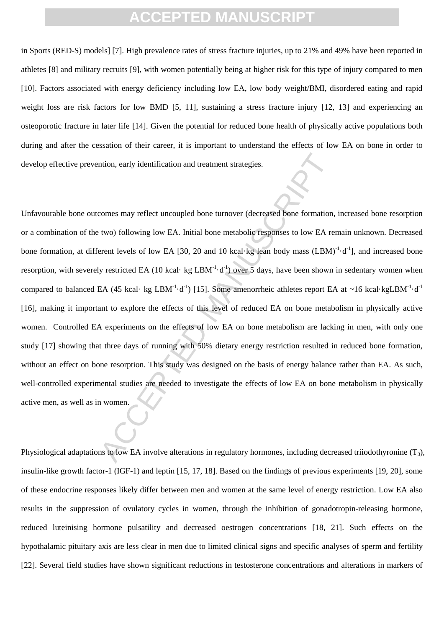in Sports (RED-S) models] [7]. High prevalence rates of stress fracture injuries, up to 21% and 49% have been reported in athletes [8] and military recruits [9], with women potentially being at higher risk for this type of injury compared to men [10]. Factors associated with energy deficiency including low EA, low body weight/BMI, disordered eating and rapid weight loss are risk factors for low BMD [5, 11], sustaining a stress fracture injury [12, 13] and experiencing an osteoporotic fracture in later life [14]. Given the potential for reduced bone health of physically active populations both during and after the cessation of their career, it is important to understand the effects of low EA on bone in order to develop effective prevention, early identification and treatment strategies.

The most state and the strategies.<br>
Access may reflect uncoupled bone turnover (decreased bone formation,<br>
two) following low EA. Initial bone metabolic responses to low EA re<br>
erent levels of low EA [30, 20 and 10 kcal-k Unfavourable bone outcomes may reflect uncoupled bone turnover (decreased bone formation, increased bone resorption or a combination of the two) following low EA. Initial bone metabolic responses to low EA remain unknown. Decreased bone formation, at different levels of low EA [30, 20 and 10 kcal·kg lean body mass  $(LBM)^{-1} \cdot d^{-1}$ ], and increased bone resorption, with severely restricted EA (10 kcal· kg LBM<sup>-1</sup>·d<sup>-1</sup>) over 5 days, have been shown in sedentary women when compared to balanced EA (45 kcal· kg LBM<sup>-1</sup>·d<sup>-1</sup>) [15]. Some amenorrheic athletes report EA at ~16 kcal·kgLBM<sup>-1</sup>·d<sup>-1</sup> [16], making it important to explore the effects of this level of reduced EA on bone metabolism in physically active women. Controlled EA experiments on the effects of low EA on bone metabolism are lacking in men, with only one study [17] showing that three days of running with 50% dietary energy restriction resulted in reduced bone formation, without an effect on bone resorption. This study was designed on the basis of energy balance rather than EA. As such, well-controlled experimental studies are needed to investigate the effects of low EA on bone metabolism in physically active men, as well as in women.

Physiological adaptations to low EA involve alterations in regulatory hormones, including decreased triiodothyronine  $(T_3)$ , insulin-like growth factor-1 (IGF-1) and leptin [15, 17, 18]. Based on the findings of previous experiments [19, 20], some of these endocrine responses likely differ between men and women at the same level of energy restriction. Low EA also results in the suppression of ovulatory cycles in women, through the inhibition of gonadotropin-releasing hormone, reduced luteinising hormone pulsatility and decreased oestrogen concentrations [18, 21]. Such effects on the hypothalamic pituitary axis are less clear in men due to limited clinical signs and specific analyses of sperm and fertility [22]. Several field studies have shown significant reductions in testosterone concentrations and alterations in markers of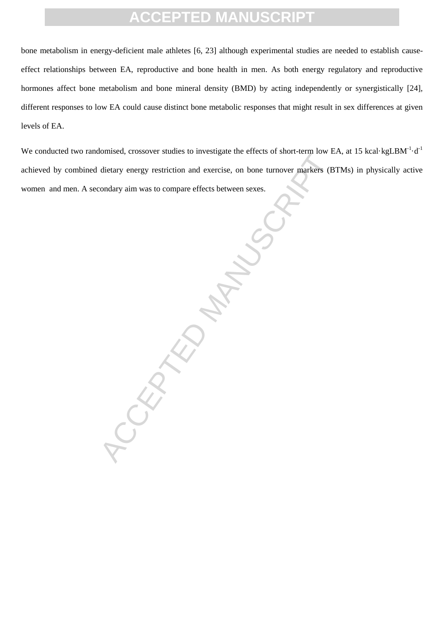bone metabolism in energy-deficient male athletes [6, 23] although experimental studies are needed to establish causeeffect relationships between EA, reproductive and bone health in men. As both energy regulatory and reproductive hormones affect bone metabolism and bone mineral density (BMD) by acting independently or synergistically [24], different responses to low EA could cause distinct bone metabolic responses that might result in sex differences at given levels of EA.

We conducted two randomised, crossover studies to investigate the effects of short-term low EA, at 15 kcal·kgLBM $^{-1}$ ·d $^{-1}$ achieved by combined dietary energy restriction and exercise, on bone turnover markers (BTMs) in physically active women and men. A secondary aim was to compare effects between sexes.

 $R_{\mathcal{S}}^{\mathcal{L}}$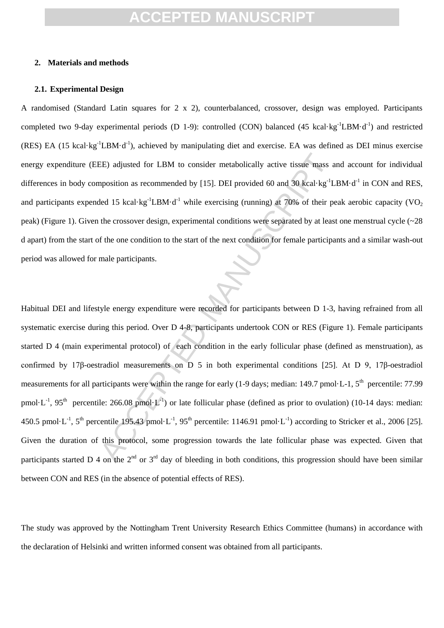#### **2. Materials and methods**

#### **2.1. Experimental Design**

A randomised (Standard Latin squares for 2 x 2), counterbalanced, crossover, design was employed. Participants completed two 9-day experimental periods (D 1-9): controlled (CON) balanced (45 kcal·kg<sup>-1</sup>LBM·d<sup>-1</sup>) and restricted  $(RES)$  EA (15 kcal·kg<sup>-1</sup>LBM·d<sup>-1</sup>), achieved by manipulating diet and exercise. EA was defined as DEI minus exercise energy expenditure (EEE) adjusted for LBM to consider metabolically active tissue mass and account for individual differences in body composition as recommended by [15]. DEI provided 60 and 30 kcal·kg<sup>-1</sup>LBM·d<sup>-1</sup> in CON and RES, and participants expended 15 kcal·kg<sup>-1</sup>LBM·d<sup>-1</sup> while exercising (running) at 70% of their peak aerobic capacity (VO<sub>2</sub>) peak) (Figure 1). Given the crossover design, experimental conditions were separated by at least one menstrual cycle (~28 d apart) from the start of the one condition to the start of the next condition for female participants and a similar wash-out period was allowed for male participants.

EE) adjusted for LBM to consider metabolically active tissue mass as<br>prosition as recommended by [15]. DEI provided 60 and 30 kcal·kg<sup>-1</sup>L<br>ded 15 kcal·kg<sup>-1</sup>LBM-d<sup>-1</sup> while exercising (running) at 70% of their pt<br>the cros Habitual DEI and lifestyle energy expenditure were recorded for participants between D 1-3, having refrained from all systematic exercise during this period. Over D 4-8, participants undertook CON or RES (Figure 1). Female participants started D 4 (main experimental protocol) of each condition in the early follicular phase (defined as menstruation), as confirmed by 17β-oestradiol measurements on D 5 in both experimental conditions [25]. At D 9, 17β-oestradiol measurements for all participants were within the range for early (1-9 days; median: 149.7 pmol·L-1, 5<sup>th</sup> percentile: 77.99 pmol·L<sup>-1</sup>, 95<sup>th</sup> percentile: 266.08 pmol·L<sup>-1</sup>) or late follicular phase (defined as prior to ovulation) (10-14 days: median: 450.5 pmol·L<sup>-1</sup>, 5<sup>th</sup> percentile 195.43 pmol·L<sup>-1</sup>, 95<sup>th</sup> percentile: 1146.91 pmol·L<sup>-1</sup>) according to Stricker et al., 2006 [25]. Given the duration of this protocol, some progression towards the late follicular phase was expected. Given that participants started D 4 on the  $2<sup>nd</sup>$  or  $3<sup>rd</sup>$  day of bleeding in both conditions, this progression should have been similar between CON and RES (in the absence of potential effects of RES).

The study was approved by the Nottingham Trent University Research Ethics Committee (humans) in accordance with the declaration of Helsinki and written informed consent was obtained from all participants.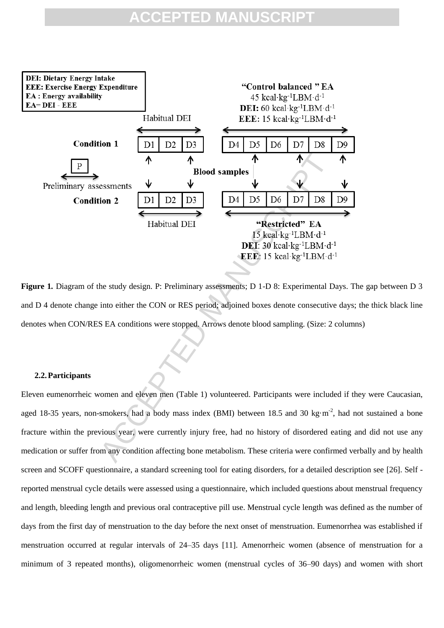

**Figure 1***.* Diagram of the study design. P: Preliminary assessments; D 1-D 8: Experimental Days. The gap between D 3 and D 4 denote change into either the CON or RES period; adjoined boxes denote consecutive days; the thick black line denotes when CON/RES EA conditions were stopped. Arrows denote blood sampling. (Size: 2 columns)

#### **2.2.Participants**

Eleven eumenorrheic women and eleven men (Table 1) volunteered. Participants were included if they were Caucasian, aged 18-35 years, non-smokers, had a body mass index (BMI) between 18.5 and 30 kg·m<sup>-2</sup>, had not sustained a bone fracture within the previous year, were currently injury free, had no history of disordered eating and did not use any medication or suffer from any condition affecting bone metabolism. These criteria were confirmed verbally and by health screen and SCOFF questionnaire, a standard screening tool for eating disorders, for a detailed description see [26]. Self reported menstrual cycle details were assessed using a questionnaire, which included questions about menstrual frequency and length, bleeding length and previous oral contraceptive pill use. Menstrual cycle length was defined as the number of days from the first day of menstruation to the day before the next onset of menstruation. Eumenorrhea was established if menstruation occurred at regular intervals of 24–35 days [11]. Amenorrheic women (absence of menstruation for a minimum of 3 repeated months), oligomenorrheic women (menstrual cycles of 36–90 days) and women with short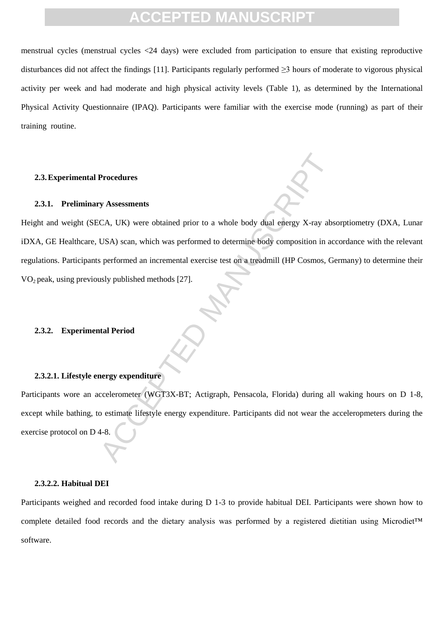menstrual cycles (menstrual cycles <24 days) were excluded from participation to ensure that existing reproductive disturbances did not affect the findings [11]. Participants regularly performed  $\geq$ 3 hours of moderate to vigorous physical activity per week and had moderate and high physical activity levels (Table 1), as determined by the International Physical Activity Questionnaire (IPAQ). Participants were familiar with the exercise mode (running) as part of their training routine.

#### **2.3.Experimental Procedures**

#### **2.3.1. Preliminary Assessments**

Procedures<br>
Manuscript CA, UK) were obtained prior to a whole body dual energy X-ray abs<br>
CA, UK) scan, which was performed to determine body composition in ac<br>
sperformed an incremental exercise test on a treadmill (HP Co Height and weight (SECA, UK) were obtained prior to a whole body dual energy X-ray absorptiometry (DXA, Lunar iDXA, GE Healthcare, USA) scan, which was performed to determine body composition in accordance with the relevant regulations. Participants performed an incremental exercise test on a treadmill (HP Cosmos, Germany) to determine their  $VO<sub>2</sub>$  peak, using previously published methods [27].

### **2.3.2. Experimental Period**

#### **2.3.2.1. Lifestyle energy expenditure**

Participants wore an accelerometer (WGT3X-BT; Actigraph, Pensacola, Florida) during all waking hours on D 1-8, except while bathing, to estimate lifestyle energy expenditure. Participants did not wear the acceleropmeters during the exercise protocol on D 4-8.

#### **2.3.2.2. Habitual DEI**

Participants weighed and recorded food intake during D 1-3 to provide habitual DEI. Participants were shown how to complete detailed food records and the dietary analysis was performed by a registered dietitian using Microdiet™ software.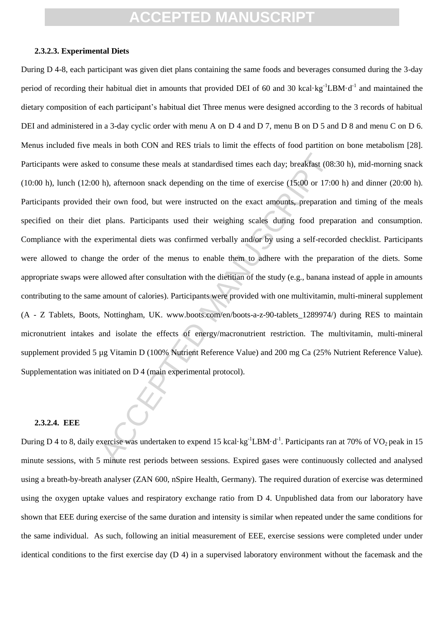#### **2.3.2.3. Experimental Diets**

1 to consume these meals at standardised times each day; breakfast (08<br>
h), afternoon snack depending on the time of exercise (15:00 or 17:0<br>
heir own food, but were instructed on the exact amounts, preparation<br>
t plans. During D 4-8, each participant was given diet plans containing the same foods and beverages consumed during the 3-day period of recording their habitual diet in amounts that provided DEI of 60 and 30 kcal·kg<sup>-1</sup>LBM·d<sup>-1</sup> and maintained the dietary composition of each participant's habitual diet Three menus were designed according to the 3 records of habitual DEI and administered in a 3-day cyclic order with menu A on D 4 and D 7, menu B on D 5 and D 8 and menu C on D 6. Menus included five meals in both CON and RES trials to limit the effects of food partition on bone metabolism [28]. Participants were asked to consume these meals at standardised times each day; breakfast (08:30 h), mid-morning snack (10:00 h), lunch (12:00 h), afternoon snack depending on the time of exercise (15:00 or 17:00 h) and dinner (20:00 h). Participants provided their own food, but were instructed on the exact amounts, preparation and timing of the meals specified on their diet plans. Participants used their weighing scales during food preparation and consumption. Compliance with the experimental diets was confirmed verbally and/or by using a self-recorded checklist. Participants were allowed to change the order of the menus to enable them to adhere with the preparation of the diets. Some appropriate swaps were allowed after consultation with the dietitian of the study (e.g., banana instead of apple in amounts contributing to the same amount of calories). Participants were provided with one multivitamin, multi-mineral supplement (A - Z Tablets, Boots, Nottingham, UK. www.boots.com/en/boots-a-z-90-tablets\_1289974/) during RES to maintain micronutrient intakes and isolate the effects of energy/macronutrient restriction. The multivitamin, multi-mineral supplement provided 5 µg Vitamin D (100% Nutrient Reference Value) and 200 mg Ca (25% Nutrient Reference Value). Supplementation was initiated on D 4 (main experimental protocol).

#### **2.3.2.4. EEE**

During D 4 to 8, daily exercise was undertaken to expend 15 kcal·kg<sup>-1</sup>LBM·d<sup>-1</sup>. Participants ran at 70% of VO<sub>2</sub> peak in 15 minute sessions, with 5 minute rest periods between sessions. Expired gases were continuously collected and analysed using a breath-by-breath analyser (ZAN 600, nSpire Health, Germany). The required duration of exercise was determined using the oxygen uptake values and respiratory exchange ratio from D 4. Unpublished data from our laboratory have shown that EEE during exercise of the same duration and intensity is similar when repeated under the same conditions for the same individual. As such, following an initial measurement of EEE, exercise sessions were completed under under identical conditions to the first exercise day  $(D 4)$  in a supervised laboratory environment without the facemask and the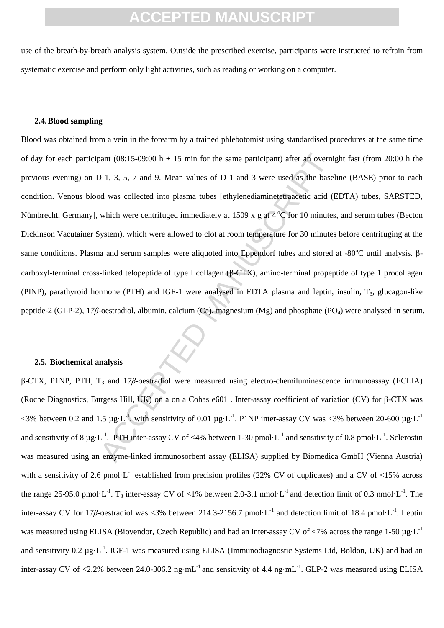use of the breath-by-breath analysis system. Outside the prescribed exercise, participants were instructed to refrain from systematic exercise and perform only light activities, such as reading or working on a computer.

#### **2.4.Blood sampling**

bant (08:15-09:00 h ± 15 min for the same participant) after an overnitional of 1, 3, 5, 7 and 9. Mean values of D 1 and 3 were used as the based of was collected into plasma tubes [ethylenediaminetetraacetic acid (I whic Blood was obtained from a vein in the forearm by a trained phlebotomist using standardised procedures at the same time of day for each participant (08:15-09:00 h  $\pm$  15 min for the same participant) after an overnight fast (from 20:00 h the previous evening) on D 1, 3, 5, 7 and 9. Mean values of D 1 and 3 were used as the baseline (BASE) prior to each condition. Venous blood was collected into plasma tubes [ethylenediaminetetraacetic acid (EDTA) tubes, SARSTED, Nümbrecht, Germany], which were centrifuged immediately at 1509 x g at  $4^{\circ}C$  for 10 minutes, and serum tubes (Becton Dickinson Vacutainer System), which were allowed to clot at room temperature for 30 minutes before centrifuging at the same conditions. Plasma and serum samples were aliquoted into Eppendorf tubes and stored at  $-80^{\circ}$ C until analysis.  $\beta$ carboxyl-terminal cross-linked telopeptide of type I collagen (β-CTX), amino-terminal propeptide of type 1 procollagen (PINP), parathyroid hormone (PTH) and IGF-1 were analysed in EDTA plasma and leptin, insulin,  $T_3$ , glucagon-like peptide-2 (GLP-2), 1*7β*-oestradiol, albumin, calcium (Ca), magnesium (Mg) and phosphate (PO<sub>4</sub>) were analysed in serum.

#### **2.5. Biochemical analysis**

β-CTX, P1NP, PTH, T<sup>3</sup> and 1*7β*-oestradiol were measured using electro-chemiluminescence immunoassay (ECLIA) (Roche Diagnostics, Burgess Hill, UK) on a on a Cobas e601 . Inter-assay coefficient of variation (CV) for β-CTX was  $\lt$ 3% between 0.2 and 1.5 µg·L<sup>-1</sup>, with sensitivity of 0.01 µg·L<sup>-1</sup>. P1NP inter-assay CV was  $\lt$ 3% between 20-600 µg·L<sup>-1</sup> and sensitivity of 8  $\mu$ g·L<sup>-1</sup>. PTH inter-assay CV of <4% between 1-30 pmol·L<sup>-1</sup> and sensitivity of 0.8 pmol·L<sup>-1</sup>. Sclerostin was measured using an enzyme-linked immunosorbent assay (ELISA) supplied by Biomedica GmbH (Vienna Austria) with a sensitivity of 2.6 pmol $\cdot L^{-1}$  established from precision profiles (22% CV of duplicates) and a CV of <15% across the range 25-95.0 pmol $\cdot L^{-1}$ . T<sub>3</sub> inter-essay CV of <1% between 2.0-3.1 nmol $\cdot L^{-1}$  and detection limit of 0.3 nmol $\cdot L^{-1}$ . The inter-assay CV for 17*β*-oestradiol was <3% between 214.3-2156.7 pmol·L<sup>-1</sup> and detection limit of 18.4 pmol·L<sup>-1</sup>. Leptin was measured using ELISA (Biovendor, Czech Republic) and had an inter-assay CV of  $\langle 7\%$  across the range 1-50 µg·L<sup>-1</sup> and sensitivity  $0.2 \mu g \cdot L^{-1}$ . IGF-1 was measured using ELISA (Immunodiagnostic Systems Ltd, Boldon, UK) and had an inter-assay CV of <2.2% between 24.0-306.2 ng·mL<sup>-1</sup> and sensitivity of 4.4 ng·mL<sup>-1</sup>. GLP-2 was measured using ELISA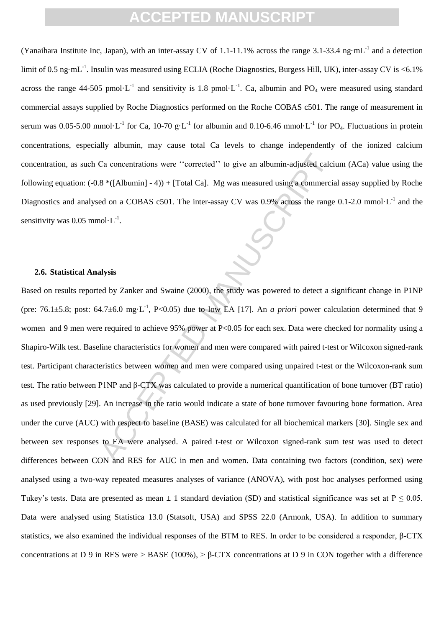(Yanaihara Institute Inc, Japan), with an inter-assay CV of 1.1-11.1% across the range 3.1-33.4 ng $\cdot$ mL<sup>-1</sup> and a detection limit of 0.5 ng·mL<sup>-1</sup>. Insulin was measured using ECLIA (Roche Diagnostics, Burgess Hill, UK), inter-assay CV is <6.1% across the range 44-505 pmol $\cdot L^{-1}$  and sensitivity is 1.8 pmol $\cdot L^{-1}$ . Ca, albumin and PO<sub>4</sub> were measured using standard commercial assays supplied by Roche Diagnostics performed on the Roche COBAS c501. The range of measurement in serum was 0.05-5.00 mmol·L<sup>-1</sup> for Ca, 10-70 g·L<sup>-1</sup> for albumin and 0.10-6.46 mmol·L<sup>-1</sup> for PO<sub>4</sub>. Fluctuations in protein concentrations, especially albumin, may cause total Ca levels to change independently of the ionized calcium concentration, as such Ca concentrations were ''corrected'' to give an albumin-adjusted calcium (ACa) value using the following equation: (-0.8 \*([Albumin] - 4)) + [Total Ca]. Mg was measured using a commercial assay supplied by Roche Diagnostics and analysed on a COBAS c501. The inter-assay CV was 0.9% across the range  $0.1$ -2.0 mmol·L<sup>-1</sup> and the sensitivity was 0.05 mmol $\cdot L^{-1}$ .

#### **2.6. Statistical Analysis**

Ca concentrations were "corrected" to give an albumin-adjusted calci  $8 * ([Albumin] - 4)) + [Total Ca]$ . Mg was measured using a commerciated on a COBAS c501. The inter-assay CV was 0.9% across the range nol-L<sup>-1</sup>.<br> **Alysis**<br>
Alysis<br>
Aly Based on results reported by Zanker and Swaine (2000), the study was powered to detect a significant change in P1NP (pre: 76.1 $\pm$ 5.8; post: 64.7 $\pm$ 6.0 mg·L<sup>-1</sup>, P<0.05) due to low EA [17]. An *a priori* power calculation determined that 9 women and 9 men were required to achieve 95% power at P<0.05 for each sex. Data were checked for normality using a Shapiro-Wilk test. Baseline characteristics for women and men were compared with paired t-test or Wilcoxon signed-rank test. Participant characteristics between women and men were compared using unpaired t-test or the Wilcoxon-rank sum test. The ratio between P1NP and β-CTX was calculated to provide a numerical quantification of bone turnover (BT ratio) as used previously [29]. An increase in the ratio would indicate a state of bone turnover favouring bone formation. Area under the curve (AUC) with respect to baseline (BASE) was calculated for all biochemical markers [30]. Single sex and between sex responses to EA were analysed. A paired t-test or Wilcoxon signed-rank sum test was used to detect differences between CON and RES for AUC in men and women. Data containing two factors (condition, sex) were analysed using a two-way repeated measures analyses of variance (ANOVA), with post hoc analyses performed using Tukey's tests. Data are presented as mean  $\pm 1$  standard deviation (SD) and statistical significance was set at  $P \le 0.05$ . Data were analysed using Statistica 13.0 (Statsoft, USA) and SPSS 22.0 (Armonk, USA). In addition to summary statistics, we also examined the individual responses of the BTM to RES. In order to be considered a responder, β-CTX concentrations at D 9 in RES were > BASE (100%), > β-CTX concentrations at D 9 in CON together with a difference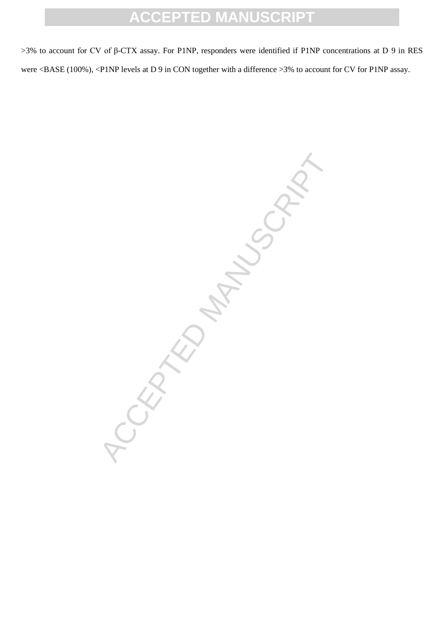>3% to account for CV of β-CTX assay. For P1NP, responders were identified if P1NP concentrations at D 9 in RES were <BASE (100%), <P1NP levels at D 9 in CON together with a difference >3% to account for CV for P1NP assay.

CRATED MANUSCRIPT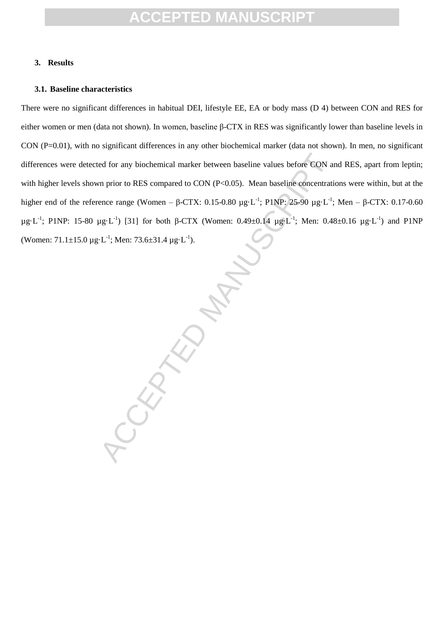#### **3. Results**

#### **3.1. Baseline characteristics**

There were no significant differences in habitual DEI, lifestyle EE, EA or body mass (D 4) between CON and RES for either women or men (data not shown). In women, baseline β-CTX in RES was significantly lower than baseline levels in CON (P=0.01), with no significant differences in any other biochemical marker (data not shown). In men, no significant differences were detected for any biochemical marker between baseline values before CON and RES, apart from leptin; with higher levels shown prior to RES compared to CON (P<0.05). Mean baseline concentrations were within, but at the higher end of the reference range (Women – β-CTX: 0.15-0.80 μg·L<sup>-1</sup>; P1NP: 25-90 μg·L<sup>-1</sup>; Men – β-CTX: 0.17-0.60 μg·L<sup>-1</sup>; P1NP: 15-80 μg·L<sup>-1</sup>) [31] for both β-CTX (Women: 0.49±0.14 μg·L<sup>-1</sup>; Men: 0.48±0.16 μg·L<sup>-1</sup>) and P1NP (Women:  $71.1 \pm 15.0 \,\mu g \cdot L^{-1}$ ; Men:  $73.6 \pm 31.4 \,\mu g \cdot L^{-1}$ ).

ed for any biochemical marker between baseline values before CON an<br>
m prior to RES compared to CON (P<0.05). Mean baseline concentration<br>
ence range (Women –  $\beta$ -CTX: 0.15-0.80 µg-L<sup>-1</sup>; PINP; 25-90 µg-L<sup>-1</sup>;<br>
ug-L<sup>-1</sup>)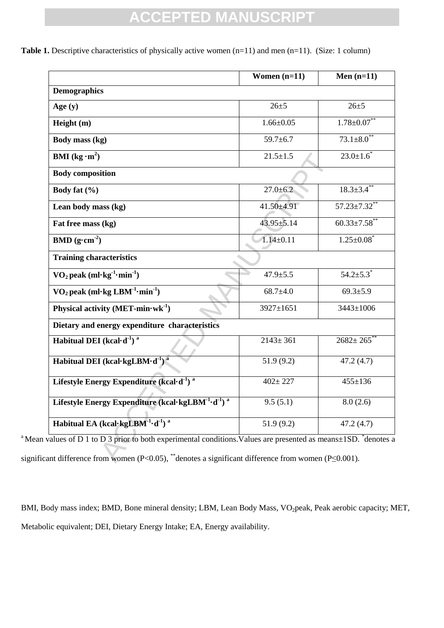|                                                                                                                                                                                                                 | Women $(n=11)$  | Men $(n=11)$                 |  |  |
|-----------------------------------------------------------------------------------------------------------------------------------------------------------------------------------------------------------------|-----------------|------------------------------|--|--|
| <b>Demographics</b>                                                                                                                                                                                             |                 |                              |  |  |
| Age $(y)$                                                                                                                                                                                                       | $26 + 5$        | $26 + 5$                     |  |  |
| Height (m)                                                                                                                                                                                                      | $1.66 \pm 0.05$ | $1.78 \pm 0.07$ **           |  |  |
| Body mass (kg)                                                                                                                                                                                                  | $59.7 \pm 6.7$  | $73.1 \pm 8.0$ <sup>**</sup> |  |  |
| <b>BMI</b> (kg $\cdot$ m <sup>2</sup> )                                                                                                                                                                         | $21.5 \pm 1.5$  | $23.0 \pm 1.6$               |  |  |
| <b>Body composition</b>                                                                                                                                                                                         |                 |                              |  |  |
| Body fat $(\% )$                                                                                                                                                                                                | $27.0 \pm 6.2$  | $18.3 \pm 3.4$ **            |  |  |
| Lean body mass (kg)                                                                                                                                                                                             | $41.50 + 4.91$  | $57.23 \pm 7.32$ **          |  |  |
| Fat free mass (kg)                                                                                                                                                                                              | 43.95±5.14      | $60.33 \pm 7.58$ **          |  |  |
| <b>BMD</b> ( $g \cdot cm^{-2}$ )                                                                                                                                                                                | $1.14 \pm 0.11$ | $1.25 \pm 0.08$ <sup>*</sup> |  |  |
| <b>Training characteristics</b>                                                                                                                                                                                 |                 |                              |  |  |
| $\rm{VO}_2$ peak (ml·kg <sup>-1</sup> ·min <sup>-1</sup> )                                                                                                                                                      | $47.9 \pm 5.5$  | $54.2{\pm}5.3$ <sup>*</sup>  |  |  |
| $VO2$ peak (ml·kg LBM <sup>-1</sup> ·min <sup>-1</sup> )                                                                                                                                                        | $68.7{\pm}4.0$  | $69.3 \pm 5.9$               |  |  |
| Physical activity $(MET-min·wk^{-1})$                                                                                                                                                                           | 3927±1651       | 3443±1006                    |  |  |
| Dietary and energy expenditure characteristics                                                                                                                                                                  |                 |                              |  |  |
| Habitual DEI (kcal $\cdot$ d <sup>-1</sup> ) <sup>a</sup>                                                                                                                                                       | $2143 \pm 361$  | $2682 \pm 265$               |  |  |
| Habitual DEI (kcal·kgLBM·d <sup>-1</sup> ) <sup>a</sup>                                                                                                                                                         | 51.9(9.2)       | 47.2(4.7)                    |  |  |
| Lifestyle Energy Expenditure (kcal·d <sup>-1</sup> ) <sup>a</sup>                                                                                                                                               | $402 + 227$     | $455 \pm 136$                |  |  |
| Lifestyle Energy Expenditure (kcal·kgLBM <sup>-1</sup> ·d <sup>-1</sup> ) <sup>a</sup>                                                                                                                          | 9.5(5.1)        | 8.0(2.6)                     |  |  |
| Habitual EA (kcal·kgLBM $^{-1}$ ·d <sup>-1</sup> ) <sup>a</sup>                                                                                                                                                 | 51.9(9.2)       | 47.2(4.7)                    |  |  |
| values of D 1 to D 3 prior to both experimental conditions. Values are presented as means±1SD. *denotes a<br>ant difference from women (P<0.05), "denotes a significant difference from women (P $\leq$ 0.001). |                 |                              |  |  |

**Table 1.** Descriptive characteristics of physically active women (n=11) and men (n=11). (Size: 1 column)

<sup>a</sup> Mean values of D 1 to D 3 prior to both experimental conditions. Values are presented as means $\pm$ 1SD.  $*$ denotes a significant difference from women (P<0.05), <sup>\*\*</sup>denotes a significant difference from women (P≤0.001).

BMI, Body mass index; BMD, Bone mineral density; LBM, Lean Body Mass, VO<sub>2</sub>peak, Peak aerobic capacity; MET, Metabolic equivalent; DEI, Dietary Energy Intake; EA, Energy availability.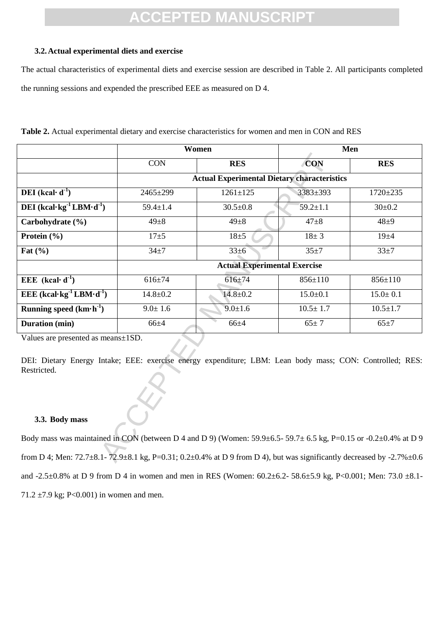#### **3.2.Actual experimental diets and exercise**

The actual characteristics of experimental diets and exercise session are described in Table 2. All participants completed the running sessions and expended the prescribed EEE as measured on D 4.

|                                                                                                                                                                                 | Women                                              |                | Men            |                |
|---------------------------------------------------------------------------------------------------------------------------------------------------------------------------------|----------------------------------------------------|----------------|----------------|----------------|
|                                                                                                                                                                                 | <b>CON</b>                                         | <b>RES</b>     | <b>CON</b>     | <b>RES</b>     |
|                                                                                                                                                                                 | <b>Actual Experimental Dietary characteristics</b> |                |                |                |
| <b>DEI</b> (kcal· $d^{-1}$ )                                                                                                                                                    | 2465±299                                           | $1261 \pm 125$ | 3383±393       | $1720 \pm 235$ |
| DEI (kcal·kg <sup>-1</sup> LBM·d <sup>-1</sup> )                                                                                                                                | $59.4 \pm 1.4$                                     | $30.5 \pm 0.8$ | $59.2 \pm 1.1$ | $30 \pm 0.2$   |
| Carbohydrate (%)                                                                                                                                                                | $49 + 8$                                           | $49 + 8$       | $47 + 8$       | $48 + 9$       |
| Protein (%)                                                                                                                                                                     | $17 + 5$                                           | $18 + 5$       | $18 + 3$       | $19 + 4$       |
| Fat $(\% )$                                                                                                                                                                     | $34 + 7$                                           | $33\pm6$       | $35 + 7$       | $33 + 7$       |
|                                                                                                                                                                                 | <b>Actual Experimental Exercise</b>                |                |                |                |
| EEE $(kcal· d-1)$                                                                                                                                                               | $616 \pm 74$                                       | $616 \pm 74$   | 856±110        | $856 \pm 110$  |
| EEE $(kcal \cdot kg^{-1} LBM \cdot d^{-1})$                                                                                                                                     | $14.8 \pm 0.2$                                     | $14.8 \pm 0.2$ | $15.0 \pm 0.1$ | $15.0 \pm 0.1$ |
| Running speed $(km \cdot h^{-1})$                                                                                                                                               | $9.0 \pm 1.6$                                      | $9.0 \pm 1.6$  | $10.5 \pm 1.7$ | $10.5 \pm 1.7$ |
| <b>Duration</b> (min)                                                                                                                                                           | $66 + 4$                                           | $66 + 4$       | $65 + 7$       | $65\pm7$       |
| Values are presented as means±1SD.<br>DEI: Dietary Energy Intake; EEE: exercise energy expenditure; LBM: Lean body mass; CON: Controlled; RES:<br>Restricted.<br>3.3. Body mass |                                                    |                |                |                |
| Body mass was maintained in CON (between D 4 and D 9) (Women: 59.9 $\pm$ 6.5-59.7 $\pm$ 6.5 kg, P=0.15 or -0.2 $\pm$ 0.4% at D 9                                                |                                                    |                |                |                |
| from D 4; Men: $72.7\pm8.1$ - $72.9\pm8.1$ kg, P=0.31; 0.2 $\pm$ 0.4% at D 9 from D 4), but was significantly decreased by -2.7% $\pm$ 0.6                                      |                                                    |                |                |                |

**Table 2.** Actual experimental dietary and exercise characteristics for women and men in CON and RES

#### **3.3. Body mass**

Body mass was maintained in CON (between D 4 and D 9) (Women:  $59.9\pm6.5-59.7\pm6.5$  kg, P=0.15 or -0.2 $\pm$ 0.4% at D 9 from D 4; Men:  $72.7\pm8.1$ -  $72.9\pm8.1$  kg, P=0.31; 0.2 $\pm$ 0.4% at D 9 from D 4), but was significantly decreased by -2.7% $\pm$ 0.6 and -2.5±0.8% at D 9 from D 4 in women and men in RES (Women: 60.2±6.2- 58.6±5.9 kg, P<0.001; Men: 73.0 ±8.1- 71.2  $\pm$ 7.9 kg; P<0.001) in women and men.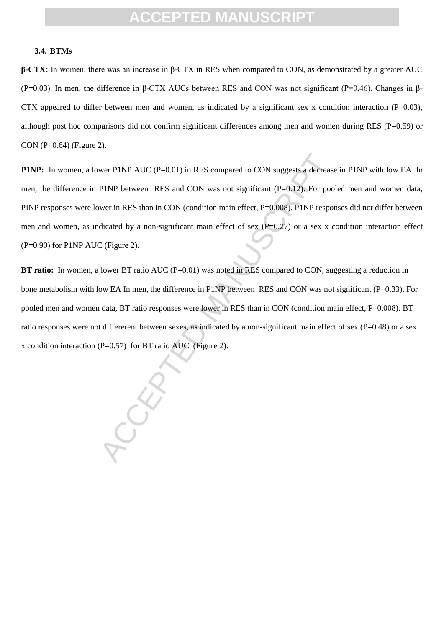#### **3.4. BTMs**

**β-CTX:** In women, there was an increase in β-CTX in RES when compared to CON, as demonstrated by a greater AUC (P=0.03). In men, the difference in β-CTX AUCs between RES and CON was not significant (P=0.46). Changes in β-CTX appeared to differ between men and women, as indicated by a significant sex x condition interaction  $(P=0.03)$ , although post hoc comparisons did not confirm significant differences among men and women during RES (P=0.59) or CON (P=0.64) (Figure 2).

wer PINP AUC (P=0.01) in RES compared to CON suggests a decrease<br>
PINP between RES and CON was not significant (P=0.12). For poor<br>
wer in RES than in CON (condition main effect, P=0.008). PINP respon<br>
dicated by a non-sig **P1NP:** In women, a lower P1NP AUC (P=0.01) in RES compared to CON suggests a decrease in P1NP with low EA. In men, the difference in P1NP between RES and CON was not significant (P=0.12). For pooled men and women data, PINP responses were lower in RES than in CON (condition main effect, P=0.008). P1NP responses did not differ between men and women, as indicated by a non-significant main effect of sex (P=0.27) or a sex x condition interaction effect  $(P=0.90)$  for P1NP AUC (Figure 2).

**BT ratio:** In women, a lower BT ratio AUC (P=0.01) was noted in RES compared to CON, suggesting a reduction in bone metabolism with low EA In men, the difference in P1NP between RES and CON was not significant (P=0.33). For pooled men and women data, BT ratio responses were lower in RES than in CON (condition main effect, P=0.008). BT ratio responses were not differerent between sexes, as indicated by a non-significant main effect of sex ( $P=0.48$ ) or a sex x condition interaction (P=0.57) for BT ratio AUC (Figure 2).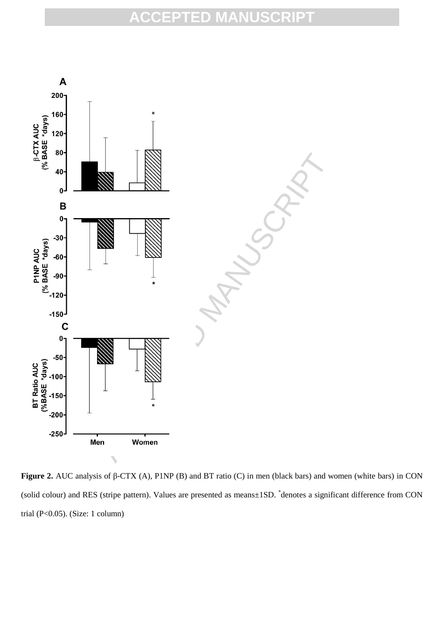

**Figure 2.** AUC analysis of β-CTX (A), P1NP (B) and BT ratio (C) in men (black bars) and women (white bars) in CON (solid colour) and RES (stripe pattern). Values are presented as means±1SD. \* denotes a significant difference from CON trial (P<0.05). (Size: 1 column)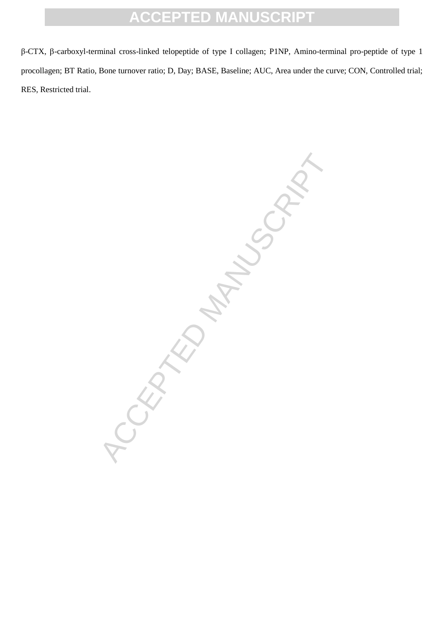β-CTX, β-carboxyl-terminal cross-linked telopeptide of type I collagen; P1NP, Amino-terminal pro-peptide of type 1 procollagen; BT Ratio, Bone turnover ratio; D, Day; BASE, Baseline; AUC, Area under the curve; CON, Controlled trial; RES, Restricted trial.

ACCEPTED MANUSCRIPT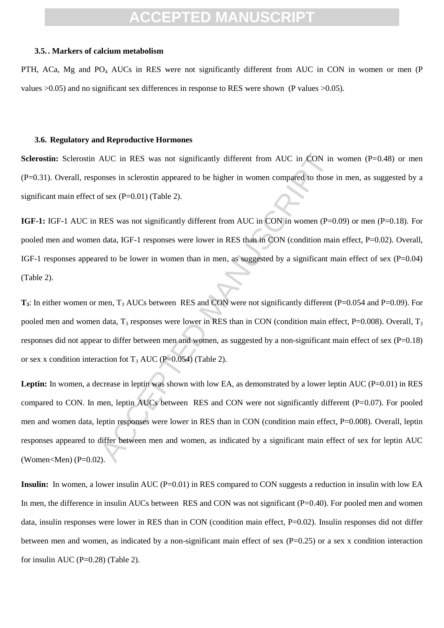#### **3.5. . Markers of calcium metabolism**

PTH, ACa, Mg and PO<sub>4</sub> AUCs in RES were not significantly different from AUC in CON in women or men (P values >0.05) and no significant sex differences in response to RES were shown (P values >0.05).

#### **3.6. Regulatory and Reproductive Hormones**

**Sclerostin:** Sclerostin AUC in RES was not significantly different from AUC in CON in women (P=0.48) or men (P=0.31). Overall, responses in sclerostin appeared to be higher in women compared to those in men, as suggested by a significant main effect of sex  $(P=0.01)$  (Table 2).

**IGF-1:** IGF-1 AUC in RES was not significantly different from AUC in CON in women (P=0.09) or men (P=0.18). For pooled men and women data, IGF-1 responses were lower in RES than in CON (condition main effect, P=0.02). Overall, IGF-1 responses appeared to be lower in women than in men, as suggested by a significant main effect of sex  $(P=0.04)$ (Table 2).

**T<sub>3</sub>**: In either women or men, T<sub>3</sub> AUCs between RES and CON were not significantly different (P=0.054 and P=0.09). For pooled men and women data,  $T_3$  responses were lower in RES than in CON (condition main effect, P=0.008). Overall,  $T_3$ responses did not appear to differ between men and women, as suggested by a non-significant main effect of sex (P=0.18) or sex x condition interaction fot  $T_3$  AUC (P=0.054) (Table 2).

AUC in RES was not significantly different from AUC in CON in<br>onses in sclerostin appeared to be higher in women compared to those<br>of sex (P=0.01) (Table 2).<br>RES was not significantly different from AUC in CON in women (P Leptin: In women, a decrease in leptin was shown with low EA, as demonstrated by a lower leptin AUC (P=0.01) in RES compared to CON. In men, leptin AUCs between RES and CON were not significantly different (P=0.07). For pooled men and women data, leptin responses were lower in RES than in CON (condition main effect, P=0.008). Overall, leptin responses appeared to differ between men and women, as indicated by a significant main effect of sex for leptin AUC (Women<Men) ( $P=0.02$ ).

**Insulin:** In women, a lower insulin AUC (P=0.01) in RES compared to CON suggests a reduction in insulin with low EA In men, the difference in insulin AUCs between RES and CON was not significant  $(P=0.40)$ . For pooled men and women data, insulin responses were lower in RES than in CON (condition main effect, P=0.02). Insulin responses did not differ between men and women, as indicated by a non-significant main effect of sex  $(P=0.25)$  or a sex x condition interaction for insulin AUC ( $P=0.28$ ) (Table 2).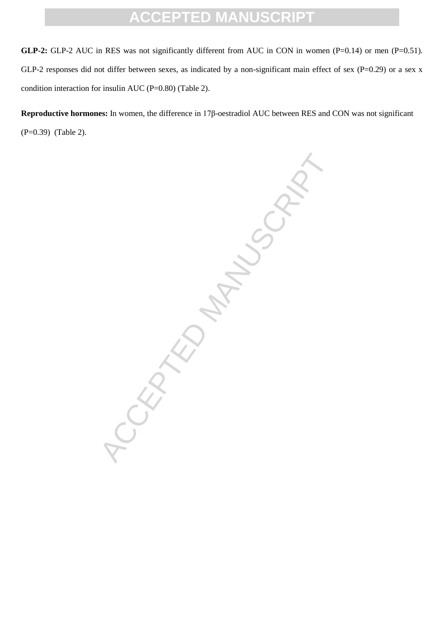**GLP-2:** GLP-2 AUC in RES was not significantly different from AUC in CON in women (P=0.14) or men (P=0.51). GLP-2 responses did not differ between sexes, as indicated by a non-significant main effect of sex (P=0.29) or a sex x condition interaction for insulin AUC (P=0.80) (Table 2).

**Reproductive hormones:** In women, the difference in 17β-oestradiol AUC between RES and CON was not significant (P=0.39) (Table 2).

ACCEPTED MANUSCRIPT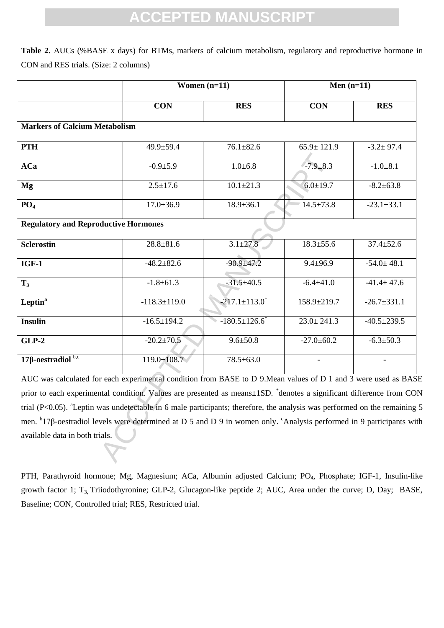**Table 2.** AUCs (%BASE x days) for BTMs, markers of calcium metabolism, regulatory and reproductive hormone in CON and RES trials. (Size: 2 columns)

|                                                                                                                                             | Women $(n=11)$     |                                 | Men $(n=11)$     |                   |  |
|---------------------------------------------------------------------------------------------------------------------------------------------|--------------------|---------------------------------|------------------|-------------------|--|
|                                                                                                                                             | <b>CON</b>         | <b>RES</b>                      | <b>CON</b>       | <b>RES</b>        |  |
| <b>Markers of Calcium Metabolism</b>                                                                                                        |                    |                                 |                  |                   |  |
| <b>PTH</b>                                                                                                                                  | 49.9±59.4          | $76.1 \pm 82.6$                 | $65.9 \pm 121.9$ | $-3.2 \pm 97.4$   |  |
| <b>ACa</b>                                                                                                                                  | $-0.9{\pm}5.9$     | $1.0 \pm 6.8$                   | $-7.9 \pm 8.3$   | $-1.0 \pm 8.1$    |  |
| Mg                                                                                                                                          | $2.5 \pm 17.6$     | $10.1 \pm 21.3$                 | $6.0 \pm 19.7$   | $-8.2 \pm 63.8$   |  |
| PO <sub>4</sub>                                                                                                                             | $17.0 \pm 36.9$    | $18.9 \pm 36.1$                 | $14.5 \pm 73.8$  | $-23.1 \pm 33.1$  |  |
| <b>Regulatory and Reproductive Hormones</b>                                                                                                 |                    |                                 |                  |                   |  |
| <b>Sclerostin</b>                                                                                                                           | $28.8 \pm 81.6$    | $3.\overline{1 \pm 27.8}$       | $18.3 \pm 55.6$  | $37.4 \pm 52.6$   |  |
| $IGF-1$                                                                                                                                     | $-48.2 \pm 82.6$   | $-90.9 + 47.2$                  | $9.4 \pm 96.9$   | $-54.0 \pm 48.1$  |  |
| $T_3$                                                                                                                                       | $-1.8 \pm 61.3$    | $-31.5 \pm 40.5$                | $-6.4 \pm 41.0$  | $-41.4 \pm 47.6$  |  |
| Leptin <sup>a</sup>                                                                                                                         | $-118.3 \pm 119.0$ | $-217.1 \pm 113.0$ <sup>*</sup> | 158.9±219.7      | $-26.7 \pm 331.1$ |  |
| <b>Insulin</b>                                                                                                                              | $-16.5 \pm 194.2$  | $-180.5 \pm 126.6$              | $23.0 \pm 241.3$ | $-40.5 \pm 239.5$ |  |
| $GLP-2$                                                                                                                                     | $-20.2 \pm 70.5$   | $9.6 \pm 50.8$                  | $-27.0 \pm 60.2$ | $-6.3 \pm 50.3$   |  |
| $17\beta$ -oestradiol b,c                                                                                                                   | $119.0 \pm 108.7$  | $78.5 \pm 63.0$                 |                  |                   |  |
| AUC was calculated for each experimental condition from BASE to D 9. Mean values of D 1 and 3 were used as BAS                              |                    |                                 |                  |                   |  |
| prior to each experimental condition. Values are presented as means±1SD. *denotes a significant difference from COI                         |                    |                                 |                  |                   |  |
| trial (P<0.05). <sup>a</sup> Leptin was undetectable in 6 male participants; therefore, the analysis was performed on the remaining         |                    |                                 |                  |                   |  |
| men. <sup>b</sup> 17β-oestradiol levels were determined at D 5 and D 9 in women only. <sup>c</sup> Analysis performed in 9 participants wit |                    |                                 |                  |                   |  |
| available data in both trials.                                                                                                              |                    |                                 |                  |                   |  |
|                                                                                                                                             |                    |                                 |                  |                   |  |

PTH, Parathyroid hormone; Mg, Magnesium; ACa, Albumin adjusted Calcium; PO<sub>4</sub>, Phosphate; IGF-1, Insulin-like growth factor 1; T<sub>3,</sub> Triiodothyronine; GLP-2, Glucagon-like peptide 2; AUC, Area under the curve; D, Day; BASE, Baseline; CON, Controlled trial; RES, Restricted trial.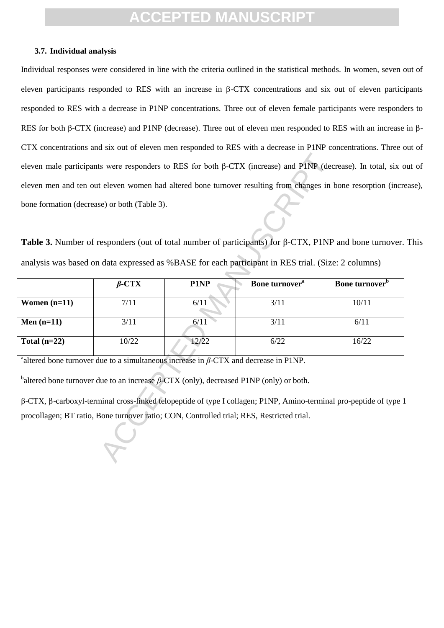#### **3.7. Individual analysis**

Individual responses were considered in line with the criteria outlined in the statistical methods. In women, seven out of eleven participants responded to RES with an increase in  $\beta$ -CTX concentrations and six out of eleven participants responded to RES with a decrease in P1NP concentrations. Three out of eleven female participants were responders to RES for both β-CTX (increase) and P1NP (decrease). Three out of eleven men responded to RES with an increase in β-CTX concentrations and six out of eleven men responded to RES with a decrease in P1NP concentrations. Three out of eleven male participants were responders to RES for both β-CTX (increase) and P1NP (decrease). In total, six out of eleven men and ten out eleven women had altered bone turnover resulting from changes in bone resorption (increase), bone formation (decrease) or both (Table 3).

**Table 3.** Number of responders (out of total number of participants) for β-CTX, P1NP and bone turnover. This analysis was based on data expressed as %BASE for each participant in RES trial. (Size: 2 columns)

|                                                                                                           |              |                                                                                           |                            | eleven male participants were responders to RES for both $\beta$ -CTX (increase) and P1NP (decrease). In total, six |
|-----------------------------------------------------------------------------------------------------------|--------------|-------------------------------------------------------------------------------------------|----------------------------|---------------------------------------------------------------------------------------------------------------------|
|                                                                                                           |              |                                                                                           |                            | eleven men and ten out eleven women had altered bone turnover resulting from changes in bone resorption (incr       |
| bone formation (decrease) or both (Table 3).                                                              |              |                                                                                           |                            |                                                                                                                     |
|                                                                                                           |              |                                                                                           |                            |                                                                                                                     |
|                                                                                                           |              |                                                                                           |                            | Table 3. Number of responders (out of total number of participants) for $\beta$ -CTX, P1NP and bone turnover        |
| analysis was based on data expressed as %BASE for each participant in RES trial. (Size: 2 columns)        |              |                                                                                           |                            |                                                                                                                     |
|                                                                                                           | $\beta$ -CTX | P1NP                                                                                      | Bone turnover <sup>a</sup> | Bone turnover <sup>b</sup>                                                                                          |
| Women $(n=11)$                                                                                            | 7/11         | 6/11                                                                                      | 3/11                       | 10/11                                                                                                               |
| Men $(n=11)$                                                                                              | 3/11         | 6/11                                                                                      | 3/11                       | 6/11                                                                                                                |
| Total $(n=22)$                                                                                            | 10/22        | 12/22                                                                                     | 6/22                       | 16/22                                                                                                               |
| <sup>a</sup> altered bone turnover due to a simultaneous increase in $\beta$ -CTX and decrease in P1NP.   |              |                                                                                           |                            |                                                                                                                     |
| <sup>b</sup> altered bone turnover due to an increase $\beta$ -CTX (only), decreased P1NP (only) or both. |              |                                                                                           |                            |                                                                                                                     |
|                                                                                                           |              |                                                                                           |                            | β-CTX, β-carboxyl-terminal cross-linked telopeptide of type I collagen; P1NP, Amino-terminal pro-peptide of type    |
|                                                                                                           |              | procollagen; BT ratio, Bone turnover ratio; CON, Controlled trial; RES, Restricted trial. |                            |                                                                                                                     |
|                                                                                                           |              |                                                                                           |                            |                                                                                                                     |
|                                                                                                           |              |                                                                                           |                            |                                                                                                                     |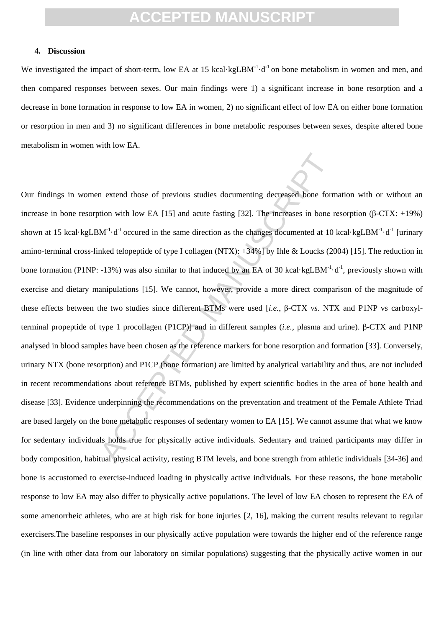#### **4. Discussion**

We investigated the impact of short-term, low EA at 15 kcal·kgLBM $^{-1}$ ·d $^{-1}$  on bone metabolism in women and men, and then compared responses between sexes. Our main findings were 1) a significant increase in bone resorption and a decrease in bone formation in response to low EA in women, 2) no significant effect of low EA on either bone formation or resorption in men and 3) no significant differences in bone metabolic responses between sexes, despite altered bone metabolism in women with low EA.

n extend those of previous studies documenting decreased bone form<br>tion with low EA [15] and acute fasting [32]. The increases in bone r<br>M<sup>-1</sup>·d<sup>-1</sup> occured in the same direction as the changes documented at 10<br>hked telo Our findings in women extend those of previous studies documenting decreased bone formation with or without an increase in bone resorption with low EA [15] and acute fasting [32]. The increases in bone resorption (β-CTX: +19%) shown at 15 kcal·kgLBM<sup>-1</sup>·d<sup>-1</sup> occured in the same direction as the changes documented at 10 kcal·kgLBM<sup>-1</sup>·d<sup>-1</sup> [urinary amino-terminal cross-linked telopeptide of type I collagen (NTX): +34%] by Ihle & Loucks (2004) [15]. The reduction in bone formation (P1NP: -13%) was also similar to that induced by an EA of 30 kcal·kgLBM<sup>-1</sup>·d<sup>-1</sup>, previously shown with exercise and dietary manipulations [15]. We cannot, however, provide a more direct comparison of the magnitude of these effects between the two studies since different BTMs were used [*i.e.*, β-CTX *vs*. NTX and P1NP vs carboxylterminal propeptide of type 1 procollagen (P1CP)] and in different samples (*i.e.*, plasma and urine). β-CTX and P1NP analysed in blood samples have been chosen as the reference markers for bone resorption and formation [33]. Conversely, urinary NTX (bone resorption) and P1CP (bone formation) are limited by analytical variability and thus, are not included in recent recommendations about reference BTMs, published by expert scientific bodies in the area of bone health and disease [33]. Evidence underpinning the recommendations on the preventation and treatment of the Female Athlete Triad are based largely on the bone metabolic responses of sedentary women to EA [15]. We cannot assume that what we know for sedentary individuals holds true for physically active individuals. Sedentary and trained participants may differ in body composition, habitual physical activity, resting BTM levels, and bone strength from athletic individuals [34-36] and bone is accustomed to exercise-induced loading in physically active individuals. For these reasons, the bone metabolic response to low EA may also differ to physically active populations. The level of low EA chosen to represent the EA of some amenorrheic athletes, who are at high risk for bone injuries [2, 16], making the current results relevant to regular exercisers.The baseline responses in our physically active population were towards the higher end of the reference range (in line with other data from our laboratory on similar populations) suggesting that the physically active women in our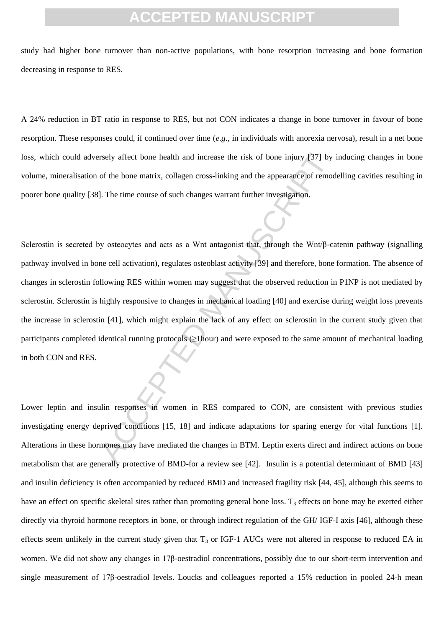study had higher bone turnover than non-active populations, with bone resorption increasing and bone formation decreasing in response to RES.

A 24% reduction in BT ratio in response to RES, but not CON indicates a change in bone turnover in favour of bone resorption. These responses could, if continued over time (*e.g.*, in individuals with anorexia nervosa), result in a net bone loss, which could adversely affect bone health and increase the risk of bone injury [37] by inducing changes in bone volume, mineralisation of the bone matrix, collagen cross-linking and the appearance of remodelling cavities resulting in poorer bone quality [38]. The time course of such changes warrant further investigation.

rsely affect bone health and increase the risk of bone injury [37] by<br>of the bone matrix, collagen cross-linking and the appearance of remod<br>J. The time course of such changes warrant further investigation.<br><br>My osteocytes Sclerostin is secreted by osteocytes and acts as a Wnt antagonist that, through the Wnt/β-catenin pathway (signalling pathway involved in bone cell activation), regulates osteoblast activity [39] and therefore, bone formation. The absence of changes in sclerostin following RES within women may suggest that the observed reduction in P1NP is not mediated by sclerostin. Sclerostin is highly responsive to changes in mechanical loading [40] and exercise during weight loss prevents the increase in sclerostin [41], which might explain the lack of any effect on sclerostin in the current study given that participants completed identical running protocols (≥1hour) and were exposed to the same amount of mechanical loading in both CON and RES.

Lower leptin and insulin responses in women in RES compared to CON, are consistent with previous studies investigating energy deprived conditions [15, 18] and indicate adaptations for sparing energy for vital functions [1]. Alterations in these hormones may have mediated the changes in BTM. Leptin exerts direct and indirect actions on bone metabolism that are generally protective of BMD-for a review see [42]. Insulin is a potential determinant of BMD [43] and insulin deficiency is often accompanied by reduced BMD and increased fragility risk [44, 45], although this seems to have an effect on specific skeletal sites rather than promoting general bone loss.  $T_3$  effects on bone may be exerted either directly via thyroid hormone receptors in bone, or through indirect regulation of the GH/ IGF-I axis [46], although these effects seem unlikely in the current study given that  $T_3$  or IGF-1 AUCs were not altered in response to reduced EA in women. We did not show any changes in 17β-oestradiol concentrations, possibly due to our short-term intervention and single measurement of 17β-oestradiol levels. Loucks and colleagues reported a 15% reduction in pooled 24-h mean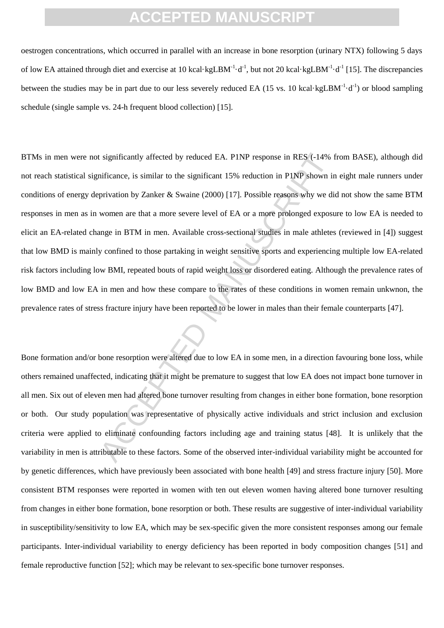oestrogen concentrations, which occurred in parallel with an increase in bone resorption (urinary NTX) following 5 days of low EA attained through diet and exercise at 10 kcal·kgLBM<sup>-1</sup>·d<sup>-1</sup>, but not 20 kcal·kgLBM<sup>-1</sup>·d<sup>-1</sup> [15]. The discrepancies between the studies may be in part due to our less severely reduced EA (15 vs. 10 kcal·kgLBM<sup>-1</sup>·d<sup>-1</sup>) or blood sampling schedule (single sample vs. 24-h frequent blood collection) [15].

r significantly affected by reduced EA. PINP response in RES (-14% functrance, is similar to the significant 15% reduction in PINP shown in privation by Zanker & Swaine (2000) [17]. Possible reasons why we diwomen are that BTMs in men were not significantly affected by reduced EA. P1NP response in RES (-14% from BASE), although did not reach statistical significance, is similar to the significant 15% reduction in P1NP shown in eight male runners under conditions of energy deprivation by Zanker & Swaine (2000) [17]. Possible reasons why we did not show the same BTM responses in men as in women are that a more severe level of EA or a more prolonged exposure to low EA is needed to elicit an EA-related change in BTM in men. Available cross-sectional studies in male athletes (reviewed in [4]) suggest that low BMD is mainly confined to those partaking in weight sensitive sports and experiencing multiple low EA-related risk factors including low BMI, repeated bouts of rapid weight loss or disordered eating. Although the prevalence rates of low BMD and low EA in men and how these compare to the rates of these conditions in women remain unkwnon, the prevalence rates of stress fracture injury have been reported to be lower in males than their female counterparts [47].

Bone formation and/or bone resorption were altered due to low EA in some men, in a direction favouring bone loss, while others remained unaffected, indicating that it might be premature to suggest that low EA does not impact bone turnover in all men. Six out of eleven men had altered bone turnover resulting from changes in either bone formation, bone resorption or both. Our study population was representative of physically active individuals and strict inclusion and exclusion criteria were applied to eliminate confounding factors including age and training status [48]. It is unlikely that the variability in men is attributable to these factors. Some of the observed inter-individual variability might be accounted for by genetic differences, which have previously been associated with bone health [49] and stress fracture injury [50]. More consistent BTM responses were reported in women with ten out eleven women having altered bone turnover resulting from changes in either bone formation, bone resorption or both. These results are suggestive of inter-individual variability in susceptibility/sensitivity to low EA, which may be sex-specific given the more consistent responses among our female participants. Inter-individual variability to energy deficiency has been reported in body composition changes [51] and female reproductive function [52]; which may be relevant to sex-specific bone turnover responses.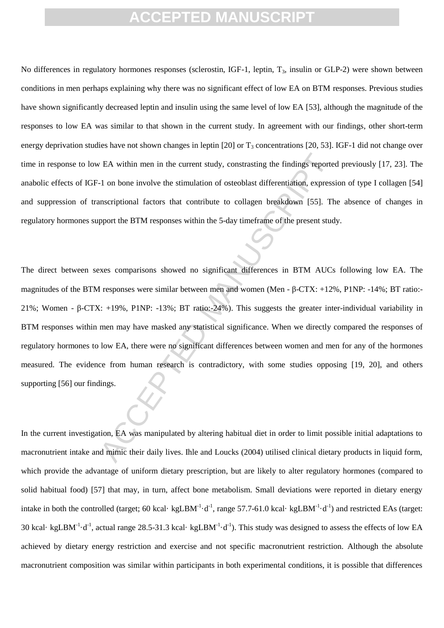No differences in regulatory hormones responses (sclerostin, IGF-1, leptin,  $T_3$ , insulin or GLP-2) were shown between conditions in men perhaps explaining why there was no significant effect of low EA on BTM responses. Previous studies have shown significantly decreased leptin and insulin using the same level of low EA [53], although the magnitude of the responses to low EA was similar to that shown in the current study. In agreement with our findings, other short-term energy deprivation studies have not shown changes in leptin  $[20]$  or  $T_3$  concentrations  $[20, 53]$ . IGF-1 did not change over time in response to low EA within men in the current study, constrasting the findings reported previously [17, 23]. The anabolic effects of IGF-1 on bone involve the stimulation of osteoblast differentiation, expression of type I collagen [54] and suppression of transcriptional factors that contribute to collagen breakdown [55]. The absence of changes in regulatory hormones support the BTM responses within the 5-day timeframe of the present study.

EA within men in the current study, constrasting the findings reporte-<br>1 on bone involve the stimulation of osteoblast differentiation, express<br>mscriptional factors that contribute to collagen breakdown [55]. The<br>pport th The direct between sexes comparisons showed no significant differences in BTM AUCs following low EA. The magnitudes of the BTM responses were similar between men and women (Men - β-CTX: +12%, P1NP: -14%; BT ratio:- 21%; Women - β-CTX: +19%, P1NP: -13%; BT ratio:-24%). This suggests the greater inter-individual variability in BTM responses within men may have masked any statistical significance. When we directly compared the responses of regulatory hormones to low EA, there were no significant differences between women and men for any of the hormones measured. The evidence from human research is contradictory, with some studies opposing [19, 20], and others supporting [56] our findings.

In the current investigation, EA was manipulated by altering habitual diet in order to limit possible initial adaptations to macronutrient intake and mimic their daily lives. Ihle and Loucks (2004) utilised clinical dietary products in liquid form, which provide the advantage of uniform dietary prescription, but are likely to alter regulatory hormones (compared to solid habitual food) [57] that may, in turn, affect bone metabolism. Small deviations were reported in dietary energy intake in both the controlled (target; 60 kcal· kgLBM<sup>-1</sup>·d<sup>-1</sup>, range 57.7-61.0 kcal· kgLBM<sup>-1</sup>·d<sup>-1</sup>) and restricted EAs (target: 30 kcal· kgLBM<sup>-1</sup>·d<sup>-1</sup>, actual range 28.5-31.3 kcal· kgLBM<sup>-1</sup>·d<sup>-1</sup>). This study was designed to assess the effects of low EA achieved by dietary energy restriction and exercise and not specific macronutrient restriction. Although the absolute macronutrient composition was similar within participants in both experimental conditions, it is possible that differences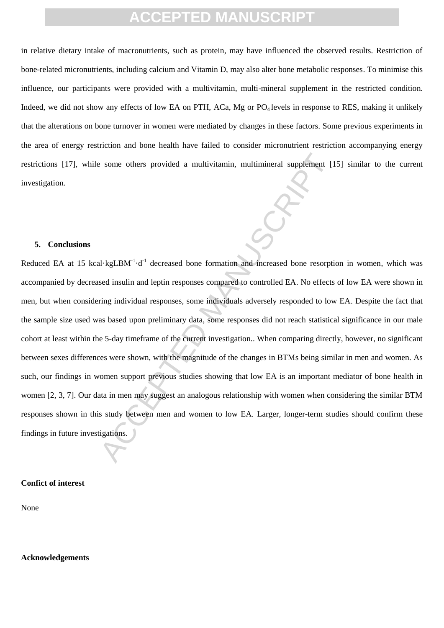in relative dietary intake of macronutrients, such as protein, may have influenced the observed results. Restriction of bone-related micronutrients, including calcium and Vitamin D, may also alter bone metabolic responses. To minimise this influence, our participants were provided with a multivitamin, multi-mineral supplement in the restricted condition. Indeed, we did not show any effects of low EA on PTH, ACa, Mg or  $PQ_4$  levels in response to RES, making it unlikely that the alterations on bone turnover in women were mediated by changes in these factors. Some previous experiments in the area of energy restriction and bone health have failed to consider micronutrient restriction accompanying energy restrictions [17], while some others provided a multivitamin, multimineral supplement [15] similar to the current investigation.

#### **5. Conclusions**

Example of the sprovided a multivitamin, multimineral supplement [1]<br>
Accept insulin and leptin responses compared to controlled EA. No effects<br>
and insulin and leptin responses compared to controlled EA. No effects<br>
acti Reduced EA at 15 kcal·kgLBM $^{-1}$ ·d<sup>-1</sup> decreased bone formation and increased bone resorption in women, which was accompanied by decreased insulin and leptin responses compared to controlled EA. No effects of low EA were shown in men, but when considering individual responses, some individuals adversely responded to low EA. Despite the fact that the sample size used was based upon preliminary data, some responses did not reach statistical significance in our male cohort at least within the 5-day timeframe of the current investigation.. When comparing directly, however, no significant between sexes differences were shown, with the magnitude of the changes in BTMs being similar in men and women. As such, our findings in women support previous studies showing that low EA is an important mediator of bone health in women [2, 3, 7]. Our data in men may suggest an analogous relationship with women when considering the similar BTM responses shown in this study between men and women to low EA. Larger, longer-term studies should confirm these findings in future investigations.

#### **Confict of interest**

None

#### **Acknowledgements**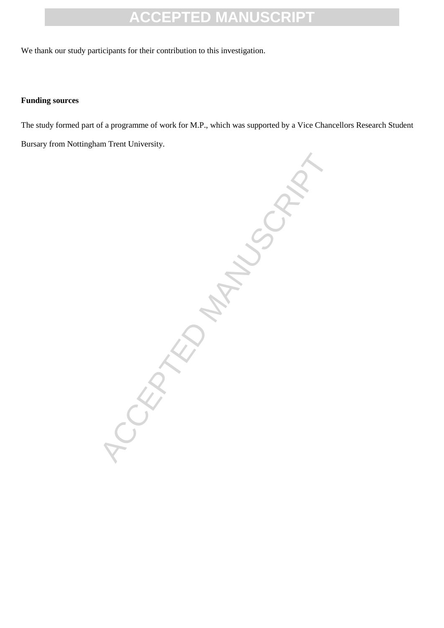We thank our study participants for their contribution to this investigation.

### **Funding sources**

The study formed part of a programme of work for M.P., which was supported by a Vice Chancellors Research Student Bursary from Nottingham Trent University.

CCEPTED MANUSCRIPT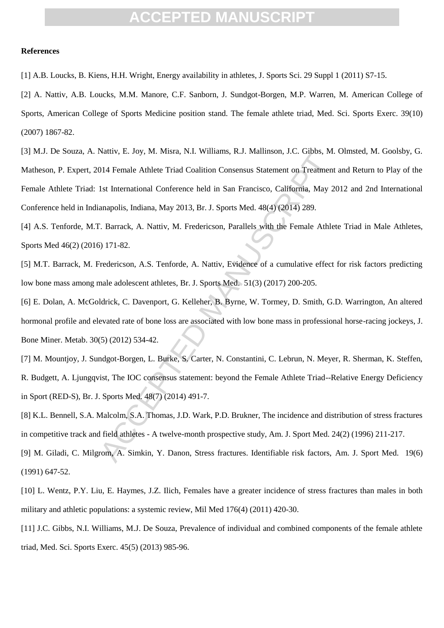#### **References**

[1] A.B. Loucks, B. Kiens, H.H. Wright, Energy availability in athletes, J. Sports Sci. 29 Suppl 1 (2011) S7-15.

[2] A. Nattiv, A.B. Loucks, M.M. Manore, C.F. Sanborn, J. Sundgot-Borgen, M.P. Warren, M. American College of Sports, American College of Sports Medicine position stand. The female athlete triad, Med. Sci. Sports Exerc. 39(10) (2007) 1867-82.

value, E. Joy, M. Misla, El. Williams, K.J. Manimson, J.C. Gnoss, M.<br>1014 Female Athlete Triad Coalition Consensus Statement on Treatment<br>1st International Conference held in San Francisco, California, May 2<br>anapolis, Indi [3] M.J. De Souza, A. Nattiv, E. Joy, M. Misra, N.I. Williams, R.J. Mallinson, J.C. Gibbs, M. Olmsted, M. Goolsby, G. Matheson, P. Expert, 2014 Female Athlete Triad Coalition Consensus Statement on Treatment and Return to Play of the Female Athlete Triad: 1st International Conference held in San Francisco, California, May 2012 and 2nd International Conference held in Indianapolis, Indiana, May 2013, Br. J. Sports Med. 48(4) (2014) 289.

[4] A.S. Tenforde, M.T. Barrack, A. Nattiv, M. Fredericson, Parallels with the Female Athlete Triad in Male Athletes, Sports Med 46(2) (2016) 171-82.

[5] M.T. Barrack, M. Fredericson, A.S. Tenforde, A. Nattiv, Evidence of a cumulative effect for risk factors predicting low bone mass among male adolescent athletes, Br. J. Sports Med. 51(3) (2017) 200-205.

[6] E. Dolan, A. McGoldrick, C. Davenport, G. Kelleher, B. Byrne, W. Tormey, D. Smith, G.D. Warrington, An altered hormonal profile and elevated rate of bone loss are associated with low bone mass in professional horse-racing jockeys, J. Bone Miner. Metab. 30(5) (2012) 534-42.

[7] M. Mountjoy, J. Sundgot-Borgen, L. Burke, S. Carter, N. Constantini, C. Lebrun, N. Meyer, R. Sherman, K. Steffen, R. Budgett, A. Ljungqvist, The IOC consensus statement: beyond the Female Athlete Triad--Relative Energy Deficiency in Sport (RED-S), Br. J. Sports Med. 48(7) (2014) 491-7.

[8] K.L. Bennell, S.A. Malcolm, S.A. Thomas, J.D. Wark, P.D. Brukner, The incidence and distribution of stress fractures in competitive track and field athletes - A twelve-month prospective study, Am. J. Sport Med. 24(2) (1996) 211-217.

[9] M. Giladi, C. Milgrom, A. Simkin, Y. Danon, Stress fractures. Identifiable risk factors, Am. J. Sport Med. 19(6) (1991) 647-52.

[10] L. Wentz, P.Y. Liu, E. Haymes, J.Z. Ilich, Females have a greater incidence of stress fractures than males in both military and athletic populations: a systemic review, Mil Med 176(4) (2011) 420-30.

[11] J.C. Gibbs, N.I. Williams, M.J. De Souza, Prevalence of individual and combined components of the female athlete triad, Med. Sci. Sports Exerc. 45(5) (2013) 985-96.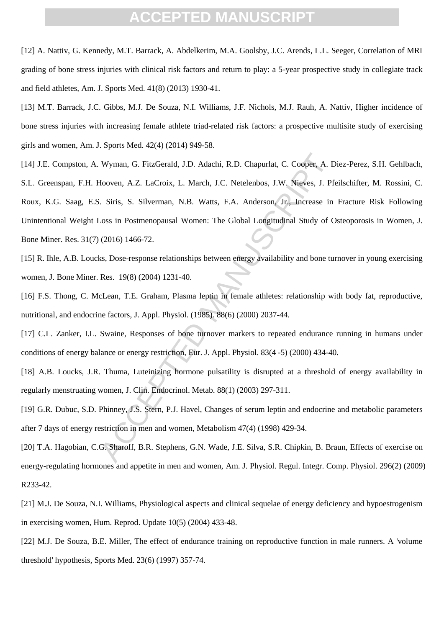[12] A. Nattiv, G. Kennedy, M.T. Barrack, A. Abdelkerim, M.A. Goolsby, J.C. Arends, L.L. Seeger, Correlation of MRI grading of bone stress injuries with clinical risk factors and return to play: a 5-year prospective study in collegiate track and field athletes, Am. J. Sports Med. 41(8) (2013) 1930-41.

[13] M.T. Barrack, J.C. Gibbs, M.J. De Souza, N.I. Williams, J.F. Nichols, M.J. Rauh, A. Nattiv, Higher incidence of bone stress injuries with increasing female athlete triad-related risk factors: a prospective multisite study of exercising girls and women, Am. J. Sports Med. 42(4) (2014) 949-58.

Wyman, G. FitzGerald, J.D. Adachi, R.D. Chapurlat, C. Cooper, A. E<br>Hooven, A.Z. LaCroix, L. March, J.C. Netelenbos, J.W. Nieves, J. Pf.<br>
1. Siris, S. Silverman, N.B. Watts, F.A. Anderson, Jr., Increase in<br>
1. Cosin Postmen [14] J.E. Compston, A. Wyman, G. FitzGerald, J.D. Adachi, R.D. Chapurlat, C. Cooper, A. Diez-Perez, S.H. Gehlbach, S.L. Greenspan, F.H. Hooven, A.Z. LaCroix, L. March, J.C. Netelenbos, J.W. Nieves, J. Pfeilschifter, M. Rossini, C. Roux, K.G. Saag, E.S. Siris, S. Silverman, N.B. Watts, F.A. Anderson, Jr., Increase in Fracture Risk Following Unintentional Weight Loss in Postmenopausal Women: The Global Longitudinal Study of Osteoporosis in Women, J. Bone Miner. Res. 31(7) (2016) 1466-72.

[15] R. Ihle, A.B. Loucks, Dose-response relationships between energy availability and bone turnover in young exercising women, J. Bone Miner. Res. 19(8) (2004) 1231-40.

[16] F.S. Thong, C. McLean, T.E. Graham, Plasma leptin in female athletes: relationship with body fat, reproductive, nutritional, and endocrine factors, J. Appl. Physiol. (1985). 88(6) (2000) 2037-44.

[17] C.L. Zanker, I.L. Swaine, Responses of bone turnover markers to repeated endurance running in humans under conditions of energy balance or energy restriction, Eur. J. Appl. Physiol. 83(4 -5) (2000) 434-40.

[18] A.B. Loucks, J.R. Thuma, Luteinizing hormone pulsatility is disrupted at a threshold of energy availability in regularly menstruating women, J. Clin. Endocrinol. Metab. 88(1) (2003) 297-311.

[19] G.R. Dubuc, S.D. Phinney, J.S. Stern, P.J. Havel, Changes of serum leptin and endocrine and metabolic parameters after 7 days of energy restriction in men and women, Metabolism 47(4) (1998) 429-34.

[20] T.A. Hagobian, C.G. Sharoff, B.R. Stephens, G.N. Wade, J.E. Silva, S.R. Chipkin, B. Braun, Effects of exercise on energy-regulating hormones and appetite in men and women, Am. J. Physiol. Regul. Integr. Comp. Physiol. 296(2) (2009) R233-42.

[21] M.J. De Souza, N.I. Williams, Physiological aspects and clinical sequelae of energy deficiency and hypoestrogenism in exercising women, Hum. Reprod. Update 10(5) (2004) 433-48.

[22] M.J. De Souza, B.E. Miller, The effect of endurance training on reproductive function in male runners. A 'volume threshold' hypothesis, Sports Med. 23(6) (1997) 357-74.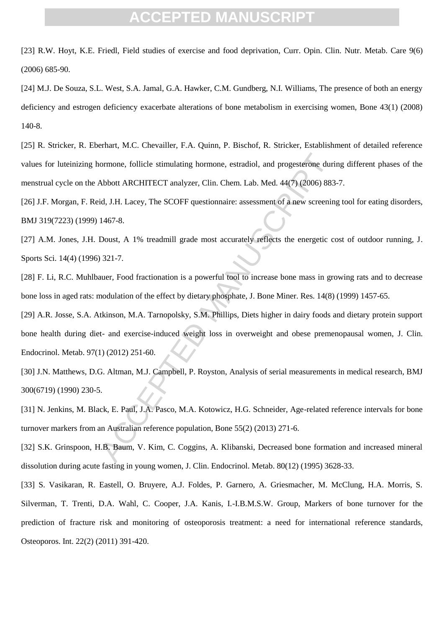[23] R.W. Hoyt, K.E. Friedl, Field studies of exercise and food deprivation, Curr. Opin. Clin. Nutr. Metab. Care 9(6) (2006) 685-90.

[24] M.J. De Souza, S.L. West, S.A. Jamal, G.A. Hawker, C.M. Gundberg, N.I. Williams, The presence of both an energy deficiency and estrogen deficiency exacerbate alterations of bone metabolism in exercising women, Bone 43(1) (2008) 140-8.

[25] R. Stricker, R. Eberhart, M.C. Chevailler, F.A. Quinn, P. Bischof, R. Stricker, Establishment of detailed reference values for luteinizing hormone, follicle stimulating hormone, estradiol, and progesterone during different phases of the menstrual cycle on the Abbott ARCHITECT analyzer, Clin. Chem. Lab. Med. 44(7) (2006) 883-7.

[26] J.F. Morgan, F. Reid, J.H. Lacey, The SCOFF questionnaire: assessment of a new screening tool for eating disorders, BMJ 319(7223) (1999) 1467-8.

[27] A.M. Jones, J.H. Doust, A 1% treadmill grade most accurately reflects the energetic cost of outdoor running, J. Sports Sci. 14(4) (1996) 321-7.

[28] F. Li, R.C. Muhlbauer, Food fractionation is a powerful tool to increase bone mass in growing rats and to decrease bone loss in aged rats: modulation of the effect by dietary phosphate, J. Bone Miner. Res. 14(8) (1999) 1457-65.

ormone, follicle stimulating hormone, estradiol, and progesterone durial<br>
Abbott ARCHITECT analyzer, Clin. Chem. Lab. Med. 44(7) (2006) 883<br>
id, J.H. Lacey, The SCOFF questionnaire: assessment of a new screenin<br>
1467-8.<br>
D [29] A.R. Josse, S.A. Atkinson, M.A. Tarnopolsky, S.M. Phillips, Diets higher in dairy foods and dietary protein support bone health during diet- and exercise-induced weight loss in overweight and obese premenopausal women, J. Clin. Endocrinol. Metab. 97(1) (2012) 251-60.

[30] J.N. Matthews, D.G. Altman, M.J. Campbell, P. Royston, Analysis of serial measurements in medical research, BMJ 300(6719) (1990) 230-5.

[31] N. Jenkins, M. Black, E. Paul, J.A. Pasco, M.A. Kotowicz, H.G. Schneider, Age-related reference intervals for bone turnover markers from an Australian reference population, Bone 55(2) (2013) 271-6.

[32] S.K. Grinspoon, H.B. Baum, V. Kim, C. Coggins, A. Klibanski, Decreased bone formation and increased mineral dissolution during acute fasting in young women, J. Clin. Endocrinol. Metab. 80(12) (1995) 3628-33.

[33] S. Vasikaran, R. Eastell, O. Bruyere, A.J. Foldes, P. Garnero, A. Griesmacher, M. McClung, H.A. Morris, S. Silverman, T. Trenti, D.A. Wahl, C. Cooper, J.A. Kanis, I.-I.B.M.S.W. Group, Markers of bone turnover for the prediction of fracture risk and monitoring of osteoporosis treatment: a need for international reference standards, Osteoporos. Int. 22(2) (2011) 391-420.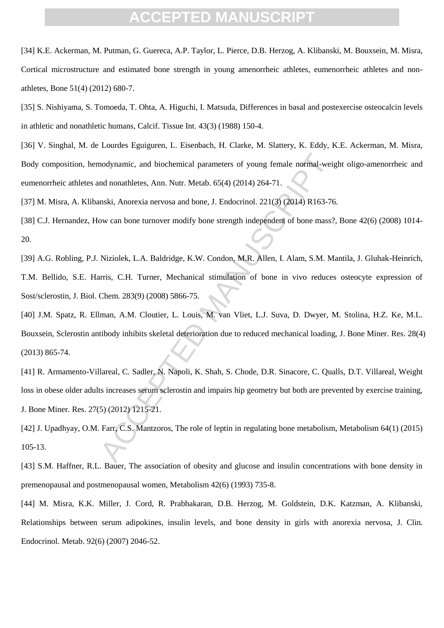[34] K.E. Ackerman, M. Putman, G. Guereca, A.P. Taylor, L. Pierce, D.B. Herzog, A. Klibanski, M. Bouxsein, M. Misra, Cortical microstructure and estimated bone strength in young amenorrheic athletes, eumenorrheic athletes and nonathletes, Bone 51(4) (2012) 680-7.

[35] S. Nishiyama, S. Tomoeda, T. Ohta, A. Higuchi, I. Matsuda, Differences in basal and postexercise osteocalcin levels in athletic and nonathletic humans, Calcif. Tissue Int. 43(3) (1988) 150-4.

[36] V. Singhal, M. de Lourdes Eguiguren, L. Eisenbach, H. Clarke, M. Slattery, K. Eddy, K.E. Ackerman, M. Misra, Body composition, hemodynamic, and biochemical parameters of young female normal-weight oligo-amenorrheic and eumenorrheic athletes and nonathletes, Ann. Nutr. Metab. 65(4) (2014) 264-71.

[37] M. Misra, A. Klibanski, Anorexia nervosa and bone, J. Endocrinol. 221(3) (2014) R163-76.

[38] C.J. Hernandez, How can bone turnover modify bone strength independent of bone mass?, Bone 42(6) (2008) 1014-20.

[39] A.G. Robling, P.J. Niziolek, L.A. Baldridge, K.W. Condon, M.R. Allen, I. Alam, S.M. Mantila, J. Gluhak-Heinrich, T.M. Bellido, S.E. Harris, C.H. Turner, Mechanical stimulation of bone in vivo reduces osteocyte expression of Sost/sclerostin, J. Biol. Chem. 283(9) (2008) 5866-75.

nodynamic, and biochemical parameters of young female normal-weignd nonathletes, Ann. Nutr. Metab. 65(4) (2014) 264-71.<br>
mski, Anorexia nervosa and bone, J. Endocrinol. 221(3) (2014) R163-76<br>
ow can bone turnover modify bo [40] J.M. Spatz, R. Ellman, A.M. Cloutier, L. Louis, M. van Vliet, L.J. Suva, D. Dwyer, M. Stolina, H.Z. Ke, M.L. Bouxsein, Sclerostin antibody inhibits skeletal deterioration due to reduced mechanical loading, J. Bone Miner. Res. 28(4) (2013) 865-74.

[41] R. Armamento-Villareal, C. Sadler, N. Napoli, K. Shah, S. Chode, D.R. Sinacore, C. Qualls, D.T. Villareal, Weight loss in obese older adults increases serum sclerostin and impairs hip geometry but both are prevented by exercise training, J. Bone Miner. Res. 27(5) (2012) 1215-21.

[42] J. Upadhyay, O.M. Farr, C.S. Mantzoros, The role of leptin in regulating bone metabolism, Metabolism 64(1) (2015) 105-13.

[43] S.M. Haffner, R.L. Bauer, The association of obesity and glucose and insulin concentrations with bone density in premenopausal and postmenopausal women, Metabolism 42(6) (1993) 735-8.

[44] M. Misra, K.K. Miller, J. Cord, R. Prabhakaran, D.B. Herzog, M. Goldstein, D.K. Katzman, A. Klibanski, Relationships between serum adipokines, insulin levels, and bone density in girls with anorexia nervosa, J. Clin. Endocrinol. Metab. 92(6) (2007) 2046-52.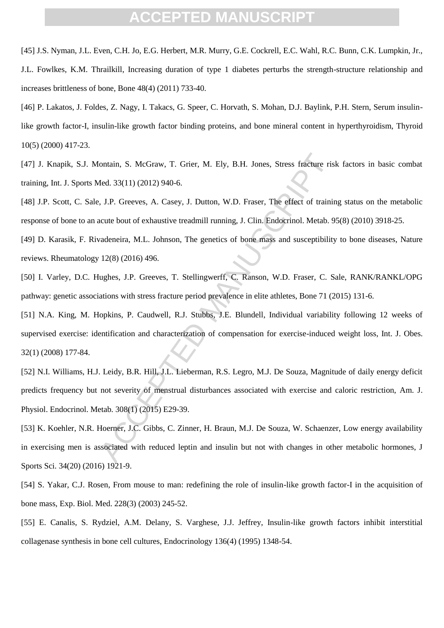[45] J.S. Nyman, J.L. Even, C.H. Jo, E.G. Herbert, M.R. Murry, G.E. Cockrell, E.C. Wahl, R.C. Bunn, C.K. Lumpkin, Jr., J.L. Fowlkes, K.M. Thrailkill, Increasing duration of type 1 diabetes perturbs the strength-structure relationship and increases brittleness of bone, Bone 48(4) (2011) 733-40.

[46] P. Lakatos, J. Foldes, Z. Nagy, I. Takacs, G. Speer, C. Horvath, S. Mohan, D.J. Baylink, P.H. Stern, Serum insulinlike growth factor-I, insulin-like growth factor binding proteins, and bone mineral content in hyperthyroidism, Thyroid 10(5) (2000) 417-23.

[47] J. Knapik, S.J. Montain, S. McGraw, T. Grier, M. Ely, B.H. Jones, Stress fracture risk factors in basic combat training, Int. J. Sports Med. 33(11) (2012) 940-6.

[48] J.P. Scott, C. Sale, J.P. Greeves, A. Casey, J. Dutton, W.D. Fraser, The effect of training status on the metabolic response of bone to an acute bout of exhaustive treadmill running, J. Clin. Endocrinol. Metab. 95(8) (2010) 3918-25.

[49] D. Karasik, F. Rivadeneira, M.L. Johnson, The genetics of bone mass and susceptibility to bone diseases, Nature reviews. Rheumatology 12(8) (2016) 496.

[50] I. Varley, D.C. Hughes, J.P. Greeves, T. Stellingwerff, C. Ranson, W.D. Fraser, C. Sale, RANK/RANKL/OPG pathway: genetic associations with stress fracture period prevalence in elite athletes, Bone 71 (2015) 131-6.

ontain, S. McGraw, T. Grier, M. Ely, B.H. Jones, Stress fracture ris<br>
Aed. 33(11) (2012) 940-6.<br>
A. J.P. Greeves, A. Casey, J. Dutton, W.D. Fraser, The effect of trainin<br>
acute bout of exhaustive treadmill running, J. Clin [51] N.A. King, M. Hopkins, P. Caudwell, R.J. Stubbs, J.E. Blundell, Individual variability following 12 weeks of supervised exercise: identification and characterization of compensation for exercise-induced weight loss, Int. J. Obes. 32(1) (2008) 177-84.

[52] N.I. Williams, H.J. Leidy, B.R. Hill, J.L. Lieberman, R.S. Legro, M.J. De Souza, Magnitude of daily energy deficit predicts frequency but not severity of menstrual disturbances associated with exercise and caloric restriction, Am. J. Physiol. Endocrinol. Metab. 308(1) (2015) E29-39.

[53] K. Koehler, N.R. Hoerner, J.C. Gibbs, C. Zinner, H. Braun, M.J. De Souza, W. Schaenzer, Low energy availability in exercising men is associated with reduced leptin and insulin but not with changes in other metabolic hormones, J Sports Sci. 34(20) (2016) 1921-9.

[54] S. Yakar, C.J. Rosen, From mouse to man: redefining the role of insulin-like growth factor-I in the acquisition of bone mass, Exp. Biol. Med. 228(3) (2003) 245-52.

[55] E. Canalis, S. Rydziel, A.M. Delany, S. Varghese, J.J. Jeffrey, Insulin-like growth factors inhibit interstitial collagenase synthesis in bone cell cultures, Endocrinology 136(4) (1995) 1348-54.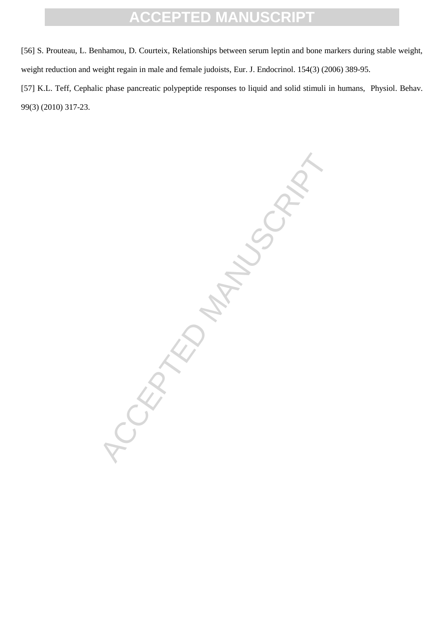[56] S. Prouteau, L. Benhamou, D. Courteix, Relationships between serum leptin and bone markers during stable weight, weight reduction and weight regain in male and female judoists, Eur. J. Endocrinol. 154(3) (2006) 389-95.

[57] K.L. Teff, Cephalic phase pancreatic polypeptide responses to liquid and solid stimuli in humans, Physiol. Behav. 99(3) (2010) 317-23.

-CEPTED MANUSCRIPT